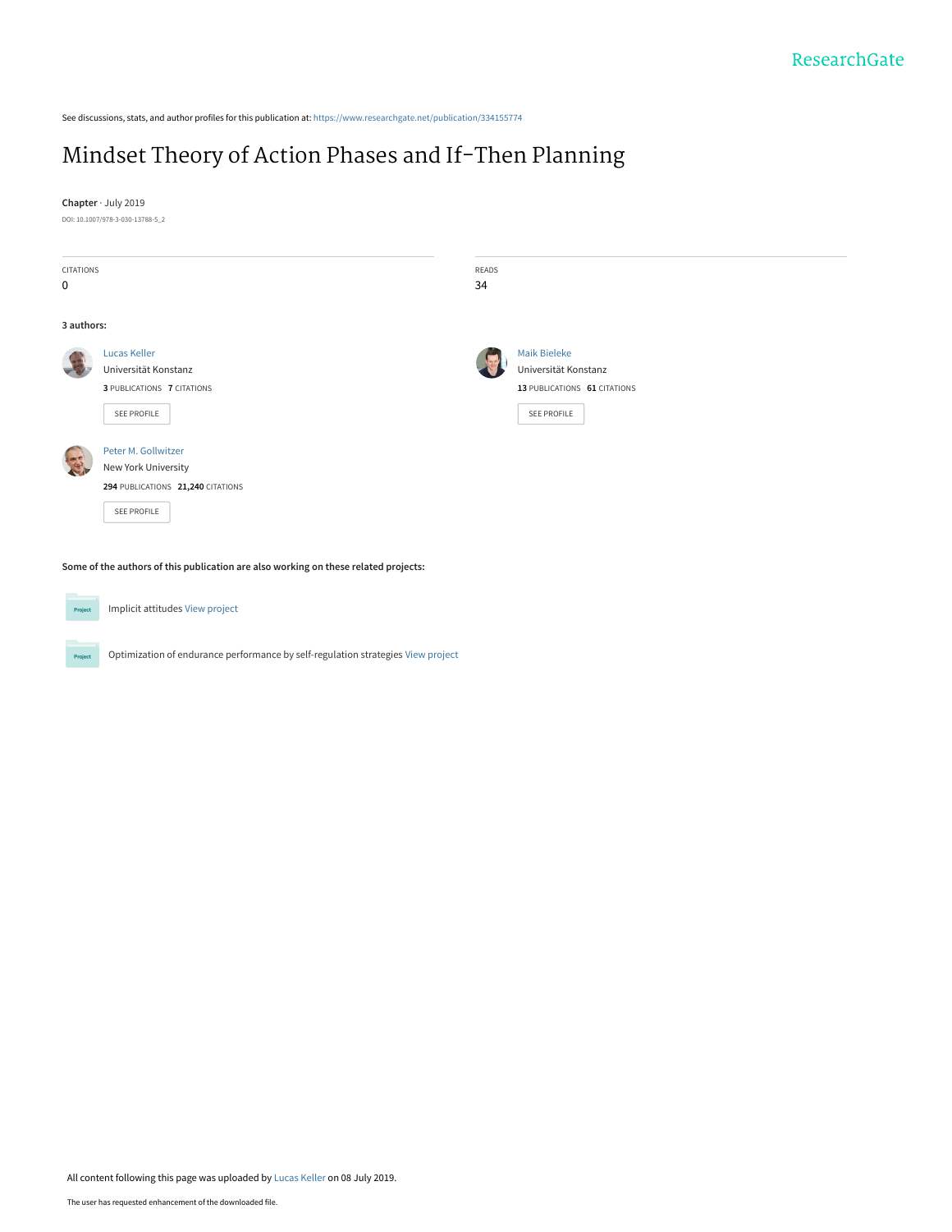See discussions, stats, and author profiles for this publication at: [https://www.researchgate.net/publication/334155774](https://www.researchgate.net/publication/334155774_Mindset_Theory_of_Action_Phases_and_If-Then_Planning?enrichId=rgreq-efd4c2e03c535822313c1e5d4640b9e0-XXX&enrichSource=Y292ZXJQYWdlOzMzNDE1NTc3NDtBUzo3NzgzNjgzNTgyOTM1MDRAMTU2MjU4ODg4NjExMA%3D%3D&el=1_x_2&_esc=publicationCoverPdf)

# [Mindset Theory of Action Phases and If-Then Planning](https://www.researchgate.net/publication/334155774_Mindset_Theory_of_Action_Phases_and_If-Then_Planning?enrichId=rgreq-efd4c2e03c535822313c1e5d4640b9e0-XXX&enrichSource=Y292ZXJQYWdlOzMzNDE1NTc3NDtBUzo3NzgzNjgzNTgyOTM1MDRAMTU2MjU4ODg4NjExMA%3D%3D&el=1_x_3&_esc=publicationCoverPdf)

**Chapter** · July 2019

DOI: 10.1007/978-3-030-13788-5\_2

| CITATIONS<br>0 |                                                                                                | READS<br>34 |                                                                                            |
|----------------|------------------------------------------------------------------------------------------------|-------------|--------------------------------------------------------------------------------------------|
| 3 authors:     |                                                                                                |             |                                                                                            |
|                | Lucas Keller<br>Universität Konstanz<br>3 PUBLICATIONS 7 CITATIONS<br>SEE PROFILE              |             | <b>Maik Bieleke</b><br>Universität Konstanz<br>13 PUBLICATIONS 61 CITATIONS<br>SEE PROFILE |
|                | Peter M. Gollwitzer<br>New York University<br>294 PUBLICATIONS 21,240 CITATIONS<br>SEE PROFILE |             |                                                                                            |

**Some of the authors of this publication are also working on these related projects:**

Project

Project

Implicit attitudes [View project](https://www.researchgate.net/project/Implicit-attitudes?enrichId=rgreq-efd4c2e03c535822313c1e5d4640b9e0-XXX&enrichSource=Y292ZXJQYWdlOzMzNDE1NTc3NDtBUzo3NzgzNjgzNTgyOTM1MDRAMTU2MjU4ODg4NjExMA%3D%3D&el=1_x_9&_esc=publicationCoverPdf)

Optimization of endurance performance by self-regulation strategies [View project](https://www.researchgate.net/project/Optimization-of-endurance-performance-by-self-regulation-strategies?enrichId=rgreq-efd4c2e03c535822313c1e5d4640b9e0-XXX&enrichSource=Y292ZXJQYWdlOzMzNDE1NTc3NDtBUzo3NzgzNjgzNTgyOTM1MDRAMTU2MjU4ODg4NjExMA%3D%3D&el=1_x_9&_esc=publicationCoverPdf)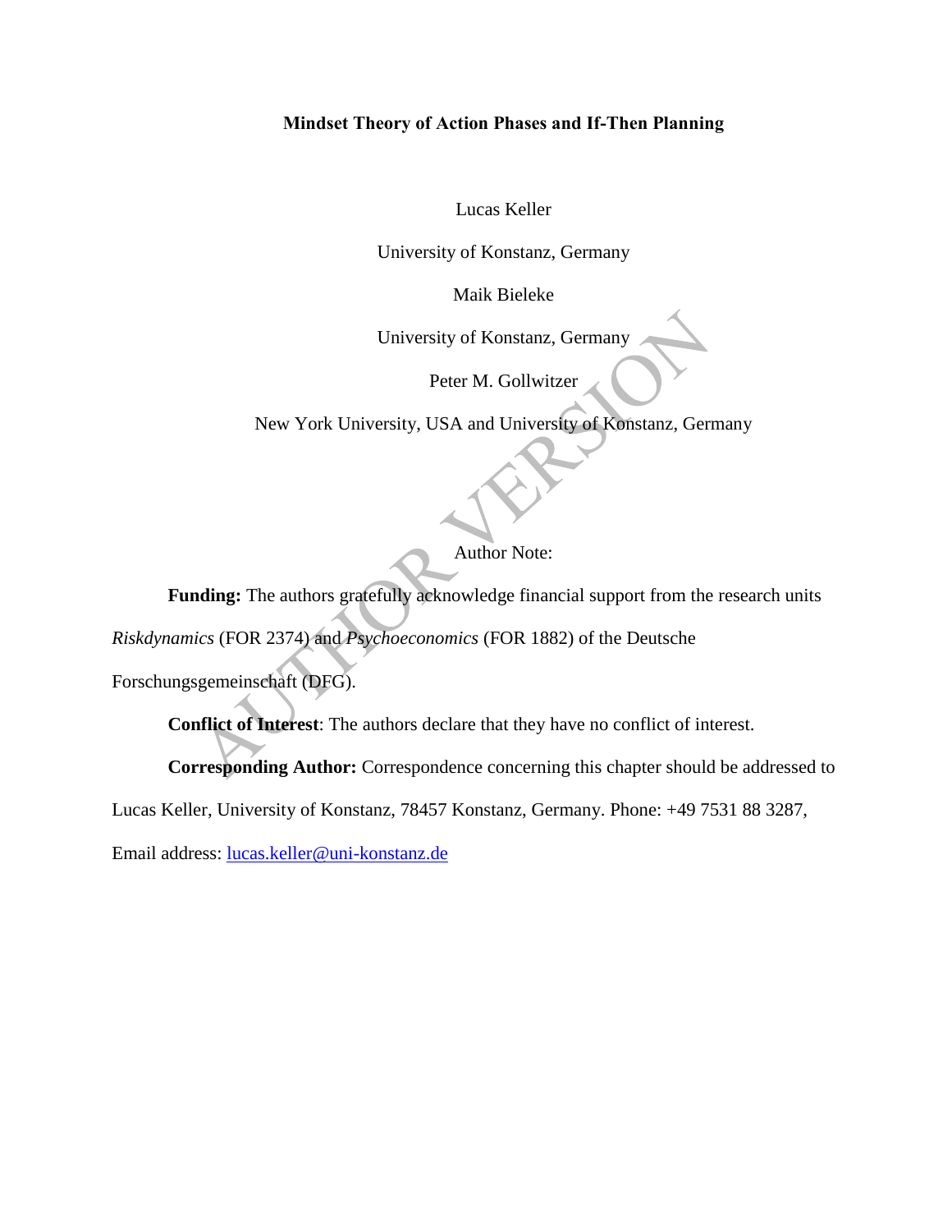#### **Mindset Theory of Action Phases and If-Then Planning**

Lucas Keller

University of Konstanz, Germany

Maik Bieleke

University of Konstanz, Germany

Peter M. Gollwitzer

New York University, USA and University of Konstanz, Germany

Author Note:

**Funding:** The authors gratefully acknowledge financial support from the research units

*Riskdynamics* (FOR 2374) and *Psychoeconomics* (FOR 1882) of the Deutsche

Forschungsgemeinschaft (DFG).

**Conflict of Interest**: The authors declare that they have no conflict of interest.

**Corresponding Author:** Correspondence concerning this chapter should be addressed to

Lucas Keller, University of Konstanz, 78457 Konstanz, Germany. Phone: +49 7531 88 3287,

Email address: [lucas.keller@uni-konstanz.de](mailto:lucas.keller@uni-konstanz.de)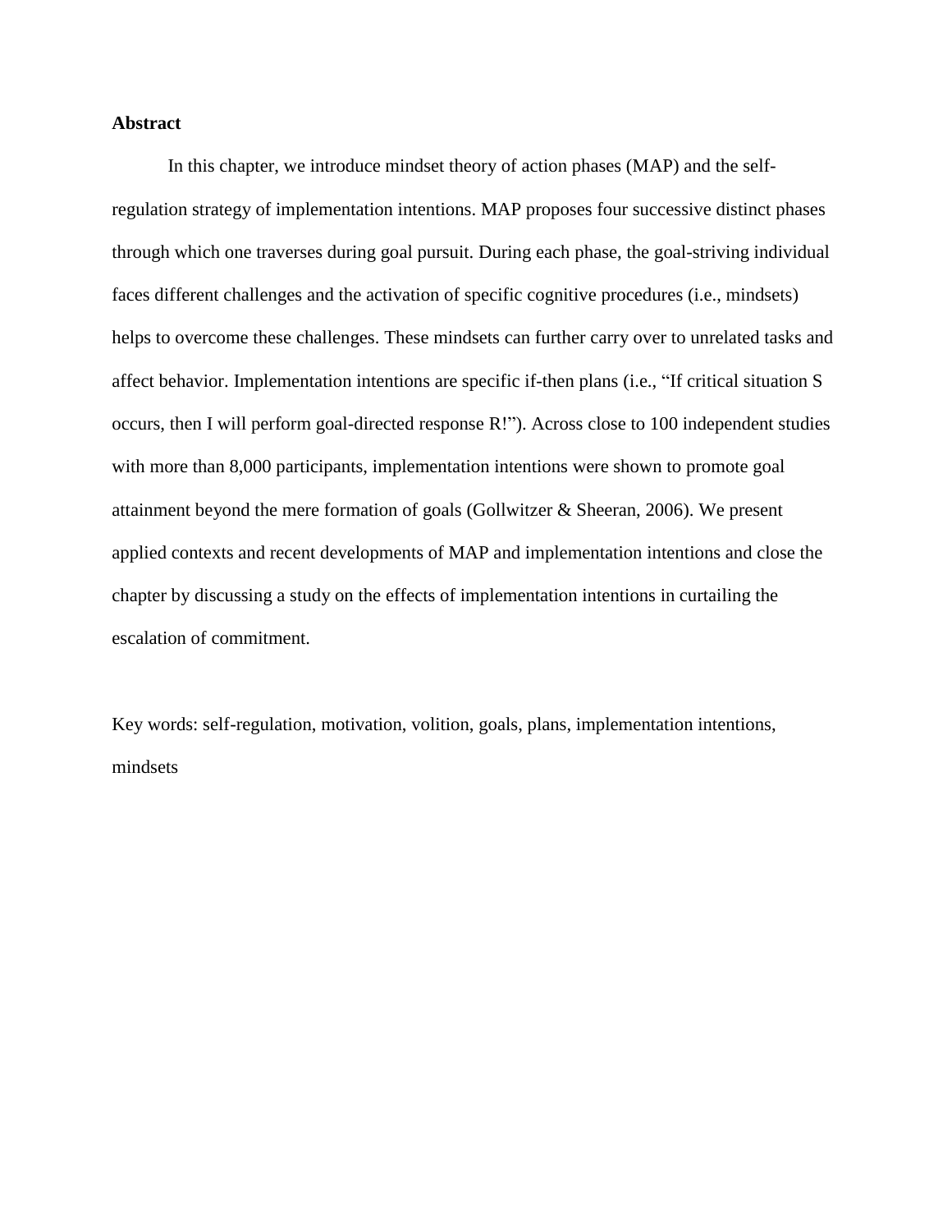#### **Abstract**

In this chapter, we introduce mindset theory of action phases (MAP) and the selfregulation strategy of implementation intentions. MAP proposes four successive distinct phases through which one traverses during goal pursuit. During each phase, the goal-striving individual faces different challenges and the activation of specific cognitive procedures (i.e., mindsets) helps to overcome these challenges. These mindsets can further carry over to unrelated tasks and affect behavior. Implementation intentions are specific if-then plans (i.e., "If critical situation S occurs, then I will perform goal-directed response R!"). Across close to 100 independent studies with more than 8,000 participants, implementation intentions were shown to promote goal attainment beyond the mere formation of goals (Gollwitzer & Sheeran, 2006). We present applied contexts and recent developments of MAP and implementation intentions and close the chapter by discussing a study on the effects of implementation intentions in curtailing the escalation of commitment.

Key words: self-regulation, motivation, volition, goals, plans, implementation intentions, mindsets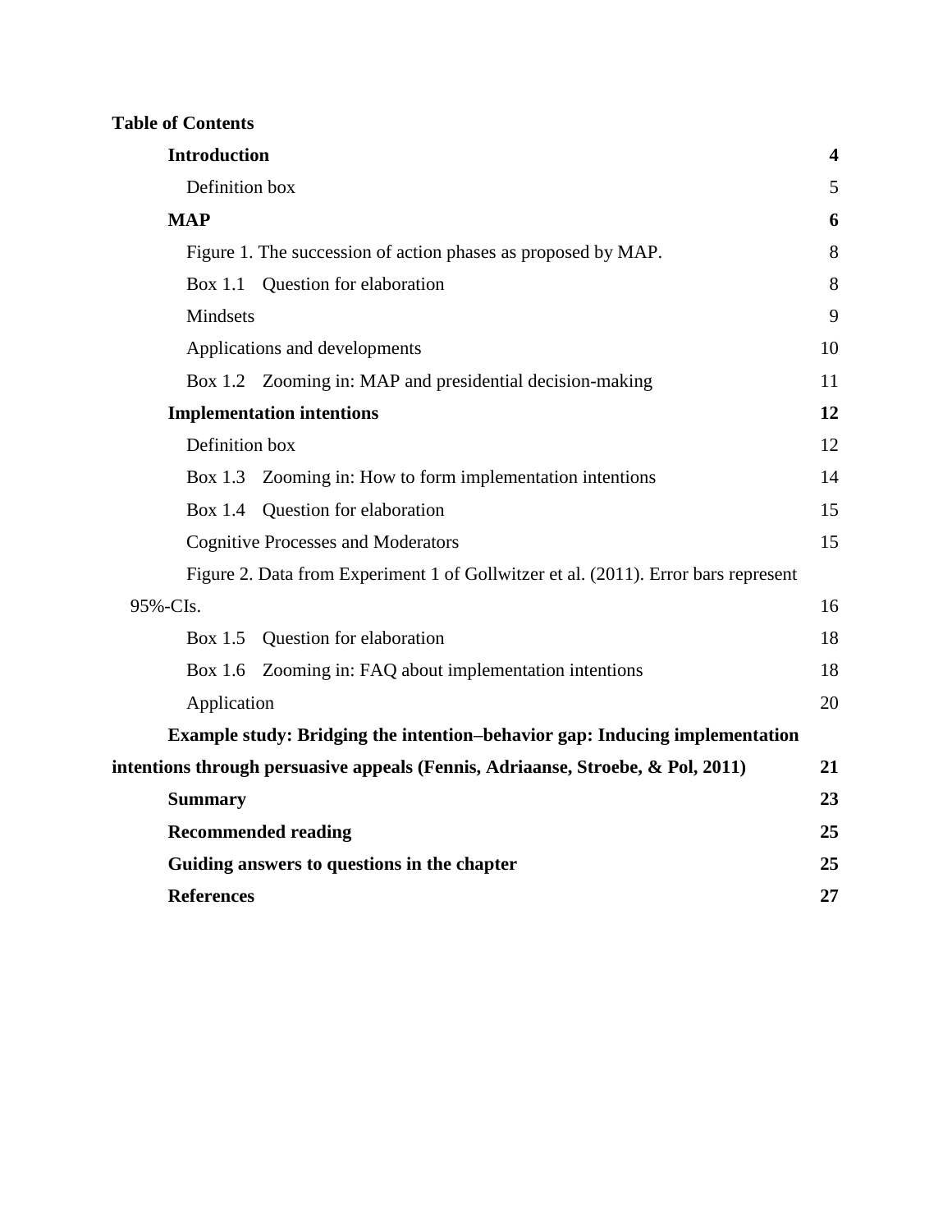# **Table of Contents**

| <b>Introduction</b> |                                                                                    | $\overline{\mathbf{4}}$ |  |  |  |
|---------------------|------------------------------------------------------------------------------------|-------------------------|--|--|--|
| Definition box      |                                                                                    | 5                       |  |  |  |
| <b>MAP</b>          |                                                                                    | 6                       |  |  |  |
|                     | Figure 1. The succession of action phases as proposed by MAP.                      | 8                       |  |  |  |
|                     | Box 1.1 Question for elaboration                                                   | 8                       |  |  |  |
| Mindsets            |                                                                                    | 9                       |  |  |  |
|                     | Applications and developments                                                      | 10                      |  |  |  |
|                     | Box 1.2 Zooming in: MAP and presidential decision-making                           | 11                      |  |  |  |
|                     | <b>Implementation intentions</b>                                                   | 12                      |  |  |  |
| Definition box      |                                                                                    | 12                      |  |  |  |
|                     | Box 1.3 Zooming in: How to form implementation intentions                          | 14                      |  |  |  |
|                     | Box 1.4 Question for elaboration                                                   | 15                      |  |  |  |
|                     | <b>Cognitive Processes and Moderators</b>                                          | 15                      |  |  |  |
|                     | Figure 2. Data from Experiment 1 of Gollwitzer et al. (2011). Error bars represent |                         |  |  |  |
| 95%-CIs.            |                                                                                    | 16                      |  |  |  |
|                     | Box 1.5 Question for elaboration                                                   | 18                      |  |  |  |
|                     | Box 1.6 Zooming in: FAQ about implementation intentions                            | 18                      |  |  |  |
|                     | Application                                                                        |                         |  |  |  |
|                     | Example study: Bridging the intention-behavior gap: Inducing implementation        |                         |  |  |  |
|                     | intentions through persuasive appeals (Fennis, Adriaanse, Stroebe, & Pol, 2011)    | 21                      |  |  |  |
| <b>Summary</b>      |                                                                                    | 23                      |  |  |  |
|                     | <b>Recommended reading</b>                                                         |                         |  |  |  |
|                     | Guiding answers to questions in the chapter                                        |                         |  |  |  |
| <b>References</b>   |                                                                                    | 27                      |  |  |  |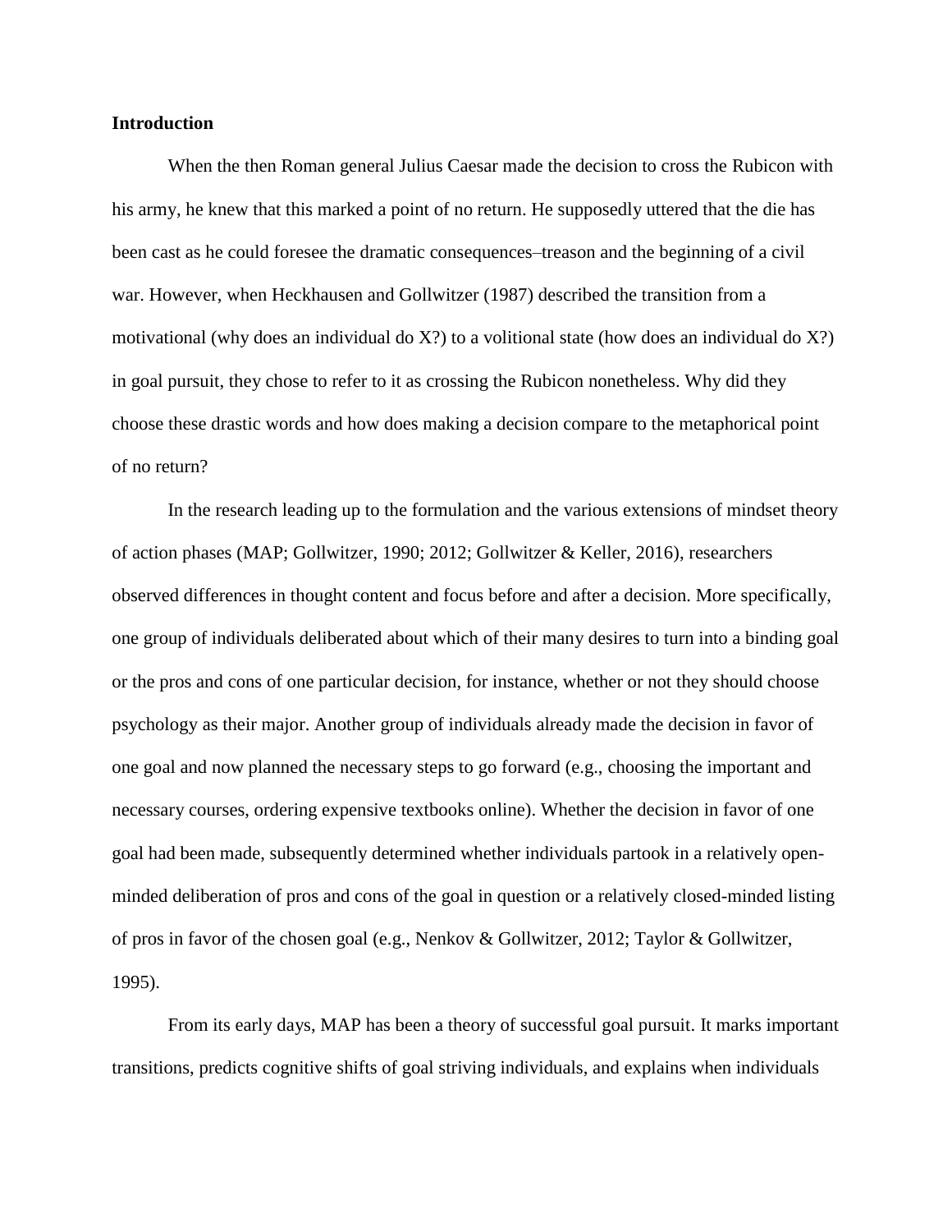#### <span id="page-4-0"></span>**Introduction**

When the then Roman general Julius Caesar made the decision to cross the Rubicon with his army, he knew that this marked a point of no return. He supposedly uttered that the die has been cast as he could foresee the dramatic consequences–treason and the beginning of a civil war. However, when Heckhausen and Gollwitzer (1987) described the transition from a motivational (why does an individual do  $X$ ?) to a volitional state (how does an individual do  $X$ ?) in goal pursuit, they chose to refer to it as crossing the Rubicon nonetheless. Why did they choose these drastic words and how does making a decision compare to the metaphorical point of no return?

In the research leading up to the formulation and the various extensions of mindset theory of action phases (MAP; Gollwitzer, 1990; 2012; Gollwitzer & Keller, 2016), researchers observed differences in thought content and focus before and after a decision. More specifically, one group of individuals deliberated about which of their many desires to turn into a binding goal or the pros and cons of one particular decision, for instance, whether or not they should choose psychology as their major. Another group of individuals already made the decision in favor of one goal and now planned the necessary steps to go forward (e.g., choosing the important and necessary courses, ordering expensive textbooks online). Whether the decision in favor of one goal had been made, subsequently determined whether individuals partook in a relatively openminded deliberation of pros and cons of the goal in question or a relatively closed-minded listing of pros in favor of the chosen goal (e.g., Nenkov & Gollwitzer, 2012; Taylor & Gollwitzer, 1995).

From its early days, MAP has been a theory of successful goal pursuit. It marks important transitions, predicts cognitive shifts of goal striving individuals, and explains when individuals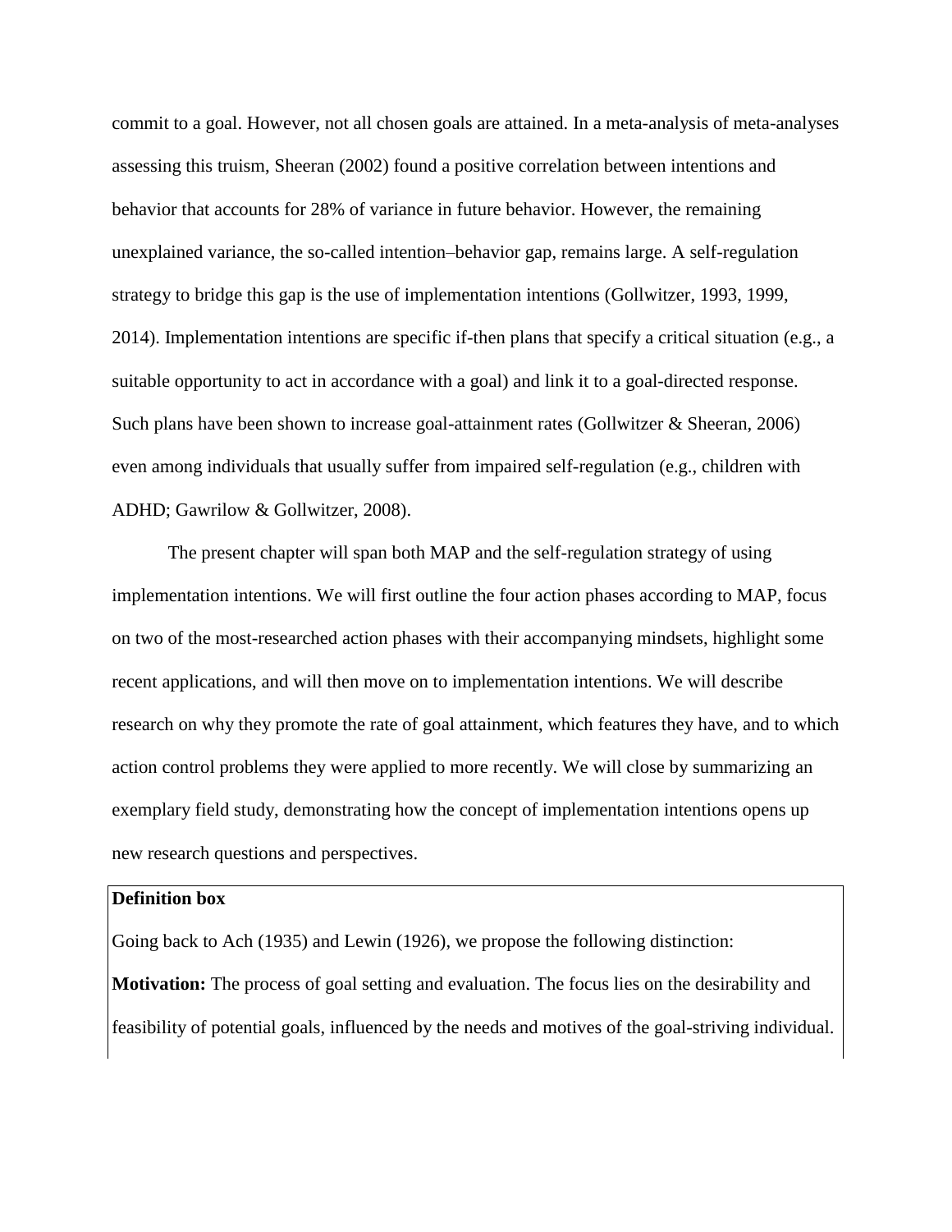commit to a goal. However, not all chosen goals are attained. In a meta-analysis of meta-analyses assessing this truism, Sheeran (2002) found a positive correlation between intentions and behavior that accounts for 28% of variance in future behavior. However, the remaining unexplained variance, the so-called intention–behavior gap, remains large. A self-regulation strategy to bridge this gap is the use of implementation intentions (Gollwitzer, 1993, 1999, 2014). Implementation intentions are specific if-then plans that specify a critical situation (e.g., a suitable opportunity to act in accordance with a goal) and link it to a goal-directed response. Such plans have been shown to increase goal-attainment rates (Gollwitzer & Sheeran, 2006) even among individuals that usually suffer from impaired self-regulation (e.g., children with ADHD; Gawrilow & Gollwitzer, 2008).

The present chapter will span both MAP and the self-regulation strategy of using implementation intentions. We will first outline the four action phases according to MAP, focus on two of the most-researched action phases with their accompanying mindsets, highlight some recent applications, and will then move on to implementation intentions. We will describe research on why they promote the rate of goal attainment, which features they have, and to which action control problems they were applied to more recently. We will close by summarizing an exemplary field study, demonstrating how the concept of implementation intentions opens up new research questions and perspectives.

### <span id="page-5-0"></span>**Definition box**

Going back to Ach (1935) and Lewin (1926), we propose the following distinction: **Motivation:** The process of goal setting and evaluation. The focus lies on the desirability and feasibility of potential goals, influenced by the needs and motives of the goal-striving individual.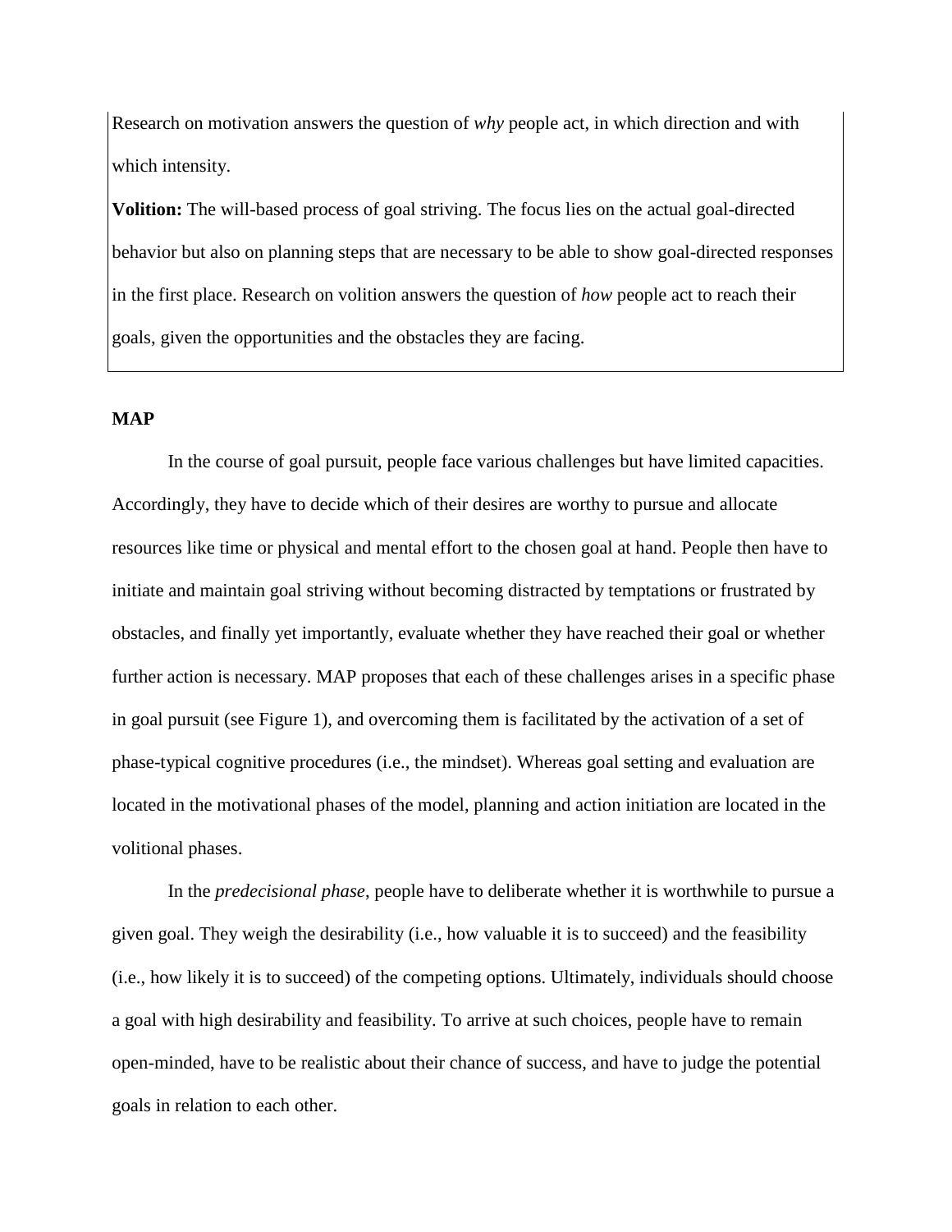Research on motivation answers the question of *why* people act, in which direction and with which intensity.

**Volition:** The will-based process of goal striving. The focus lies on the actual goal-directed behavior but also on planning steps that are necessary to be able to show goal-directed responses in the first place. Research on volition answers the question of *how* people act to reach their goals, given the opportunities and the obstacles they are facing.

#### <span id="page-6-0"></span>**MAP**

In the course of goal pursuit, people face various challenges but have limited capacities. Accordingly, they have to decide which of their desires are worthy to pursue and allocate resources like time or physical and mental effort to the chosen goal at hand. People then have to initiate and maintain goal striving without becoming distracted by temptations or frustrated by obstacles, and finally yet importantly, evaluate whether they have reached their goal or whether further action is necessary. MAP proposes that each of these challenges arises in a specific phase in goal pursuit (see [Figure 1\)](#page-8-0), and overcoming them is facilitated by the activation of a set of phase-typical cognitive procedures (i.e., the mindset). Whereas goal setting and evaluation are located in the motivational phases of the model, planning and action initiation are located in the volitional phases.

In the *predecisional phase*, people have to deliberate whether it is worthwhile to pursue a given goal. They weigh the desirability (i.e., how valuable it is to succeed) and the feasibility (i.e., how likely it is to succeed) of the competing options. Ultimately, individuals should choose a goal with high desirability and feasibility. To arrive at such choices, people have to remain open-minded, have to be realistic about their chance of success, and have to judge the potential goals in relation to each other.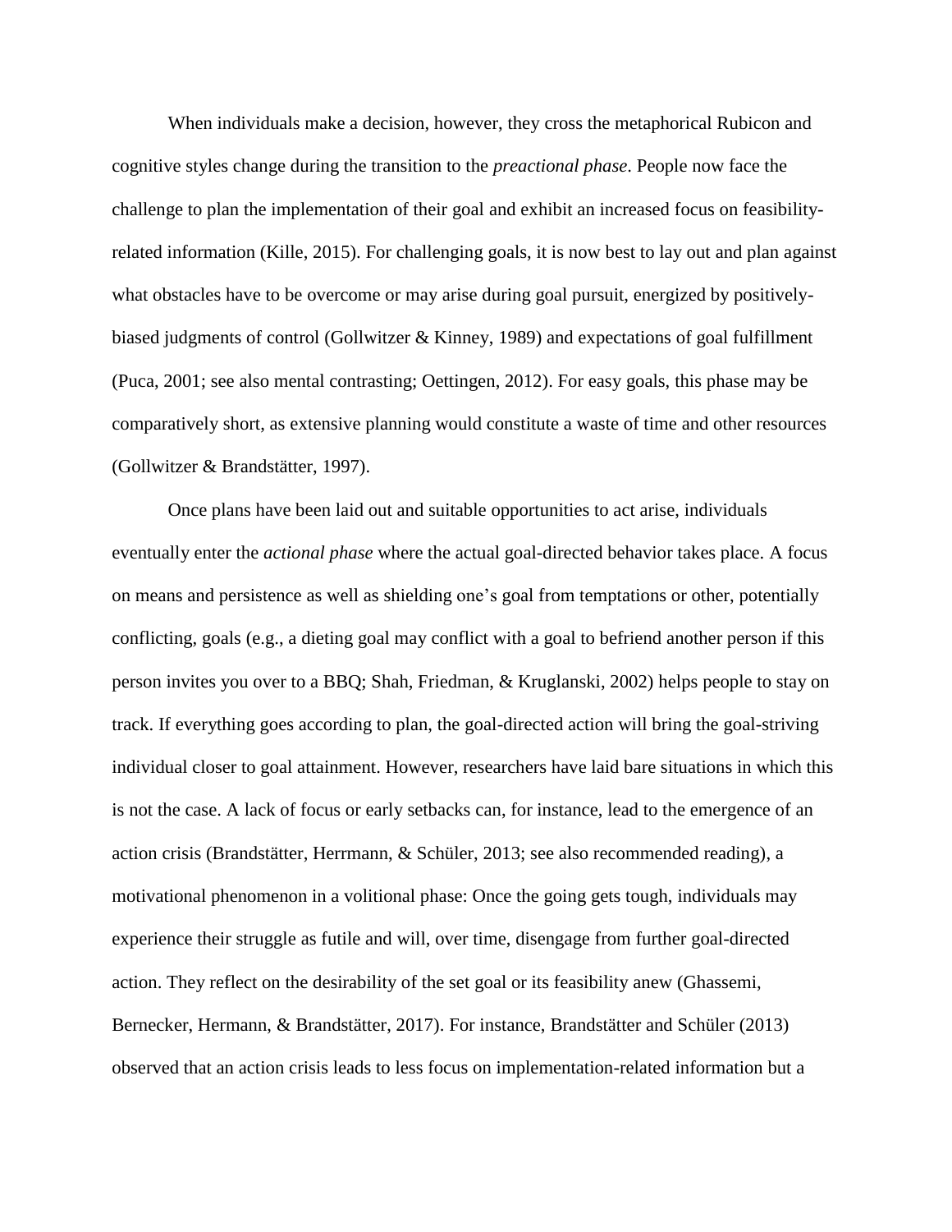When individuals make a decision, however, they cross the metaphorical Rubicon and cognitive styles change during the transition to the *preactional phase*. People now face the challenge to plan the implementation of their goal and exhibit an increased focus on feasibilityrelated information (Kille, 2015). For challenging goals, it is now best to lay out and plan against what obstacles have to be overcome or may arise during goal pursuit, energized by positivelybiased judgments of control (Gollwitzer & Kinney, 1989) and expectations of goal fulfillment (Puca, 2001; see also mental contrasting; Oettingen, 2012). For easy goals, this phase may be comparatively short, as extensive planning would constitute a waste of time and other resources (Gollwitzer & Brandstätter, 1997).

Once plans have been laid out and suitable opportunities to act arise, individuals eventually enter the *actional phase* where the actual goal-directed behavior takes place. A focus on means and persistence as well as shielding one's goal from temptations or other, potentially conflicting, goals (e.g., a dieting goal may conflict with a goal to befriend another person if this person invites you over to a BBQ; Shah, Friedman, & Kruglanski, 2002) helps people to stay on track. If everything goes according to plan, the goal-directed action will bring the goal-striving individual closer to goal attainment. However, researchers have laid bare situations in which this is not the case. A lack of focus or early setbacks can, for instance, lead to the emergence of an action crisis (Brandstätter, Herrmann, & Schüler, 2013; see also recommended reading), a motivational phenomenon in a volitional phase: Once the going gets tough, individuals may experience their struggle as futile and will, over time, disengage from further goal-directed action. They reflect on the desirability of the set goal or its feasibility anew (Ghassemi, Bernecker, Hermann, & Brandstätter, 2017). For instance, Brandstätter and Schüler (2013) observed that an action crisis leads to less focus on implementation-related information but a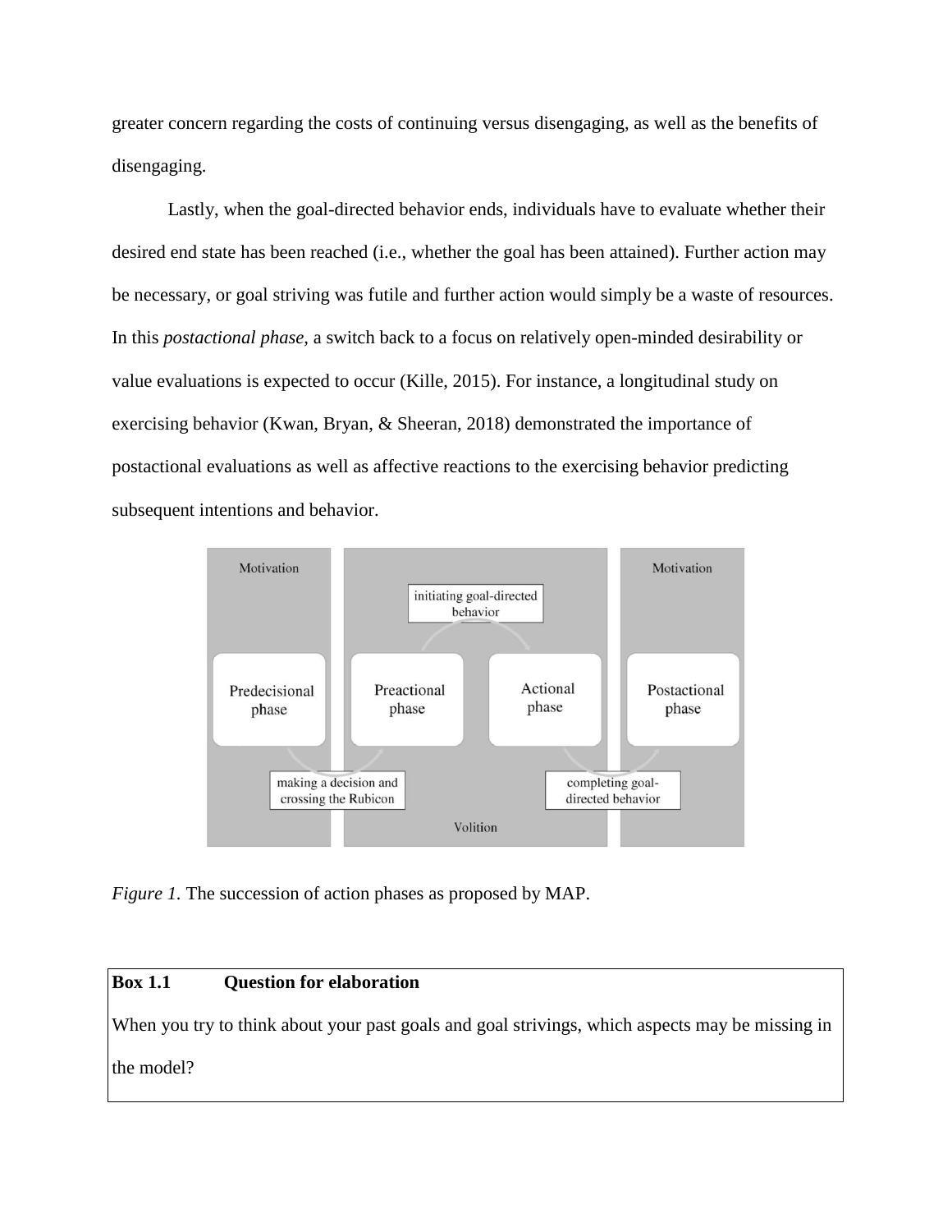greater concern regarding the costs of continuing versus disengaging, as well as the benefits of disengaging.

Lastly, when the goal-directed behavior ends, individuals have to evaluate whether their desired end state has been reached (i.e., whether the goal has been attained). Further action may be necessary, or goal striving was futile and further action would simply be a waste of resources. In this *postactional phase,* a switch back to a focus on relatively open-minded desirability or value evaluations is expected to occur (Kille, 2015). For instance, a longitudinal study on exercising behavior (Kwan, Bryan, & Sheeran, 2018) demonstrated the importance of postactional evaluations as well as affective reactions to the exercising behavior predicting subsequent intentions and behavior.



<span id="page-8-0"></span>*Figure 1.* The succession of action phases as proposed by MAP.

# <span id="page-8-1"></span>**Box 1.1 Question for elaboration**

When you try to think about your past goals and goal strivings, which aspects may be missing in the model?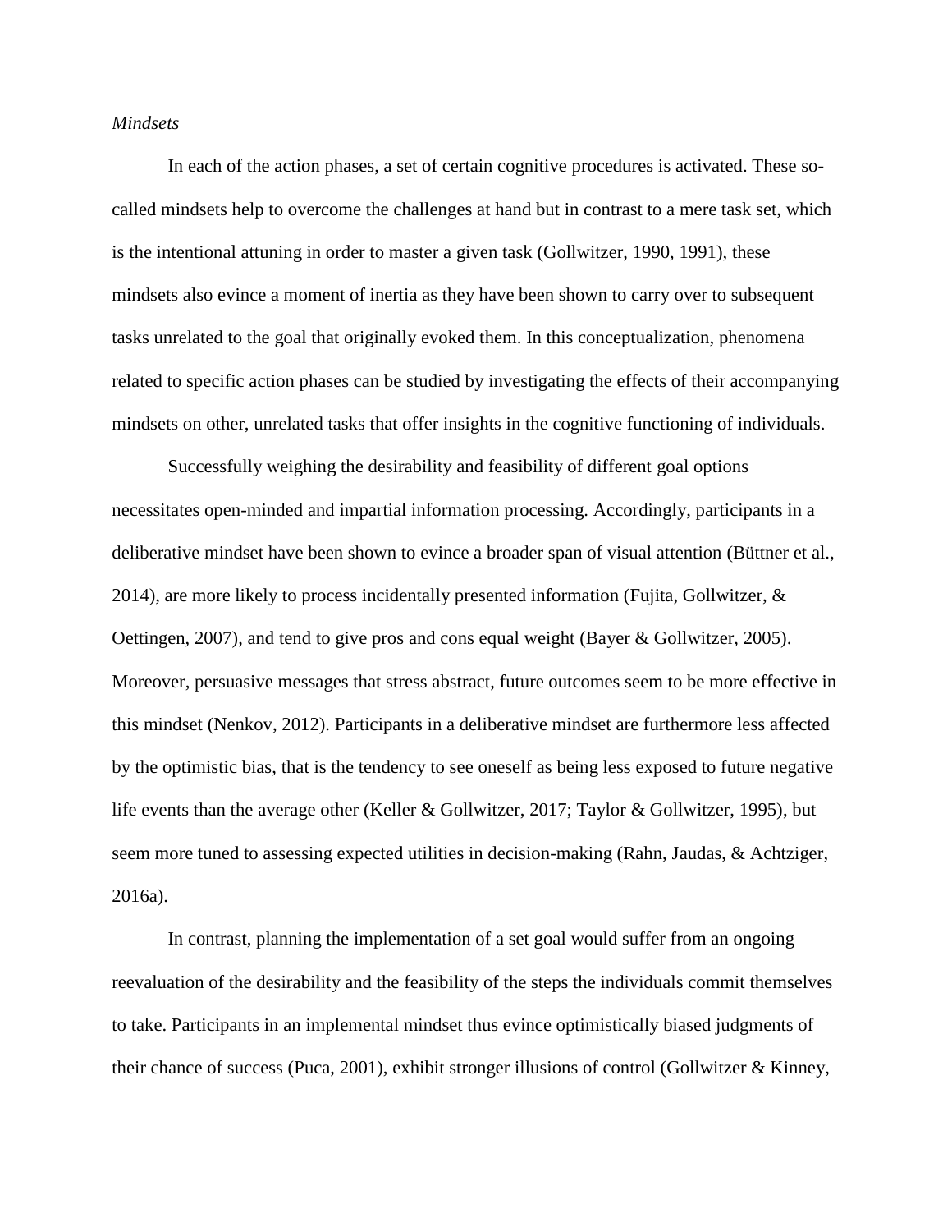#### <span id="page-9-0"></span>*Mindsets*

In each of the action phases, a set of certain cognitive procedures is activated. These socalled mindsets help to overcome the challenges at hand but in contrast to a mere task set, which is the intentional attuning in order to master a given task (Gollwitzer, 1990, 1991), these mindsets also evince a moment of inertia as they have been shown to carry over to subsequent tasks unrelated to the goal that originally evoked them. In this conceptualization, phenomena related to specific action phases can be studied by investigating the effects of their accompanying mindsets on other, unrelated tasks that offer insights in the cognitive functioning of individuals.

Successfully weighing the desirability and feasibility of different goal options necessitates open-minded and impartial information processing. Accordingly, participants in a deliberative mindset have been shown to evince a broader span of visual attention (Büttner et al., 2014), are more likely to process incidentally presented information (Fujita, Gollwitzer,  $\&$ Oettingen, 2007), and tend to give pros and cons equal weight (Bayer & Gollwitzer, 2005). Moreover, persuasive messages that stress abstract, future outcomes seem to be more effective in this mindset (Nenkov, 2012). Participants in a deliberative mindset are furthermore less affected by the optimistic bias, that is the tendency to see oneself as being less exposed to future negative life events than the average other (Keller & Gollwitzer, 2017; Taylor & Gollwitzer, 1995), but seem more tuned to assessing expected utilities in decision-making (Rahn, Jaudas, & Achtziger, 2016a).

In contrast, planning the implementation of a set goal would suffer from an ongoing reevaluation of the desirability and the feasibility of the steps the individuals commit themselves to take. Participants in an implemental mindset thus evince optimistically biased judgments of their chance of success (Puca, 2001), exhibit stronger illusions of control (Gollwitzer & Kinney,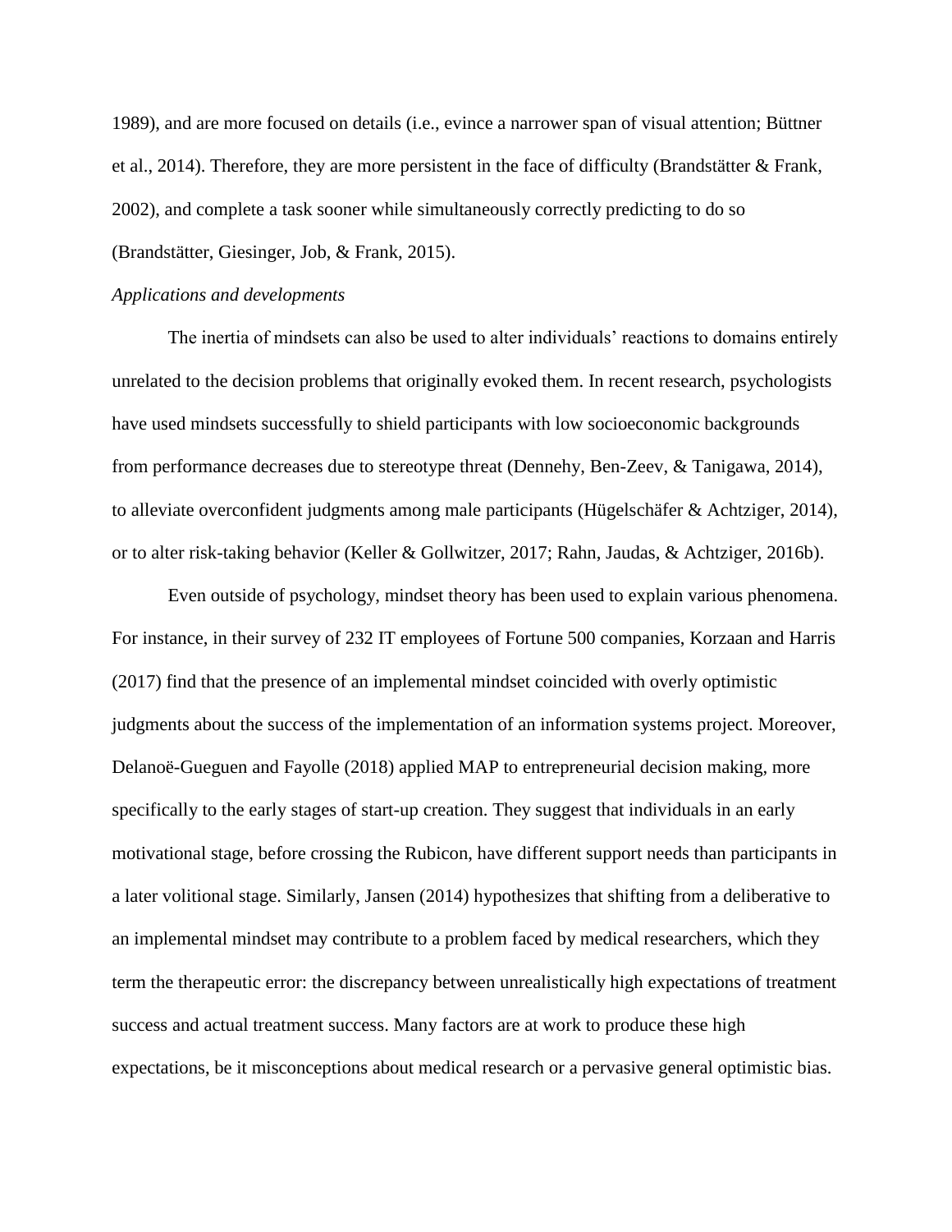1989), and are more focused on details (i.e., evince a narrower span of visual attention; Büttner et al., 2014). Therefore, they are more persistent in the face of difficulty (Brandstätter & Frank, 2002), and complete a task sooner while simultaneously correctly predicting to do so (Brandstätter, Giesinger, Job, & Frank, 2015).

#### <span id="page-10-0"></span>*Applications and developments*

The inertia of mindsets can also be used to alter individuals' reactions to domains entirely unrelated to the decision problems that originally evoked them. In recent research, psychologists have used mindsets successfully to shield participants with low socioeconomic backgrounds from performance decreases due to stereotype threat (Dennehy, Ben-Zeev, & Tanigawa, 2014), to alleviate overconfident judgments among male participants (Hügelschäfer & Achtziger, 2014), or to alter risk-taking behavior (Keller & Gollwitzer, 2017; Rahn, Jaudas, & Achtziger, 2016b).

Even outside of psychology, mindset theory has been used to explain various phenomena. For instance, in their survey of 232 IT employees of Fortune 500 companies, Korzaan and Harris (2017) find that the presence of an implemental mindset coincided with overly optimistic judgments about the success of the implementation of an information systems project. Moreover, Delanoë-Gueguen and Fayolle (2018) applied MAP to entrepreneurial decision making, more specifically to the early stages of start-up creation. They suggest that individuals in an early motivational stage, before crossing the Rubicon, have different support needs than participants in a later volitional stage. Similarly, Jansen (2014) hypothesizes that shifting from a deliberative to an implemental mindset may contribute to a problem faced by medical researchers, which they term the therapeutic error: the discrepancy between unrealistically high expectations of treatment success and actual treatment success. Many factors are at work to produce these high expectations, be it misconceptions about medical research or a pervasive general optimistic bias.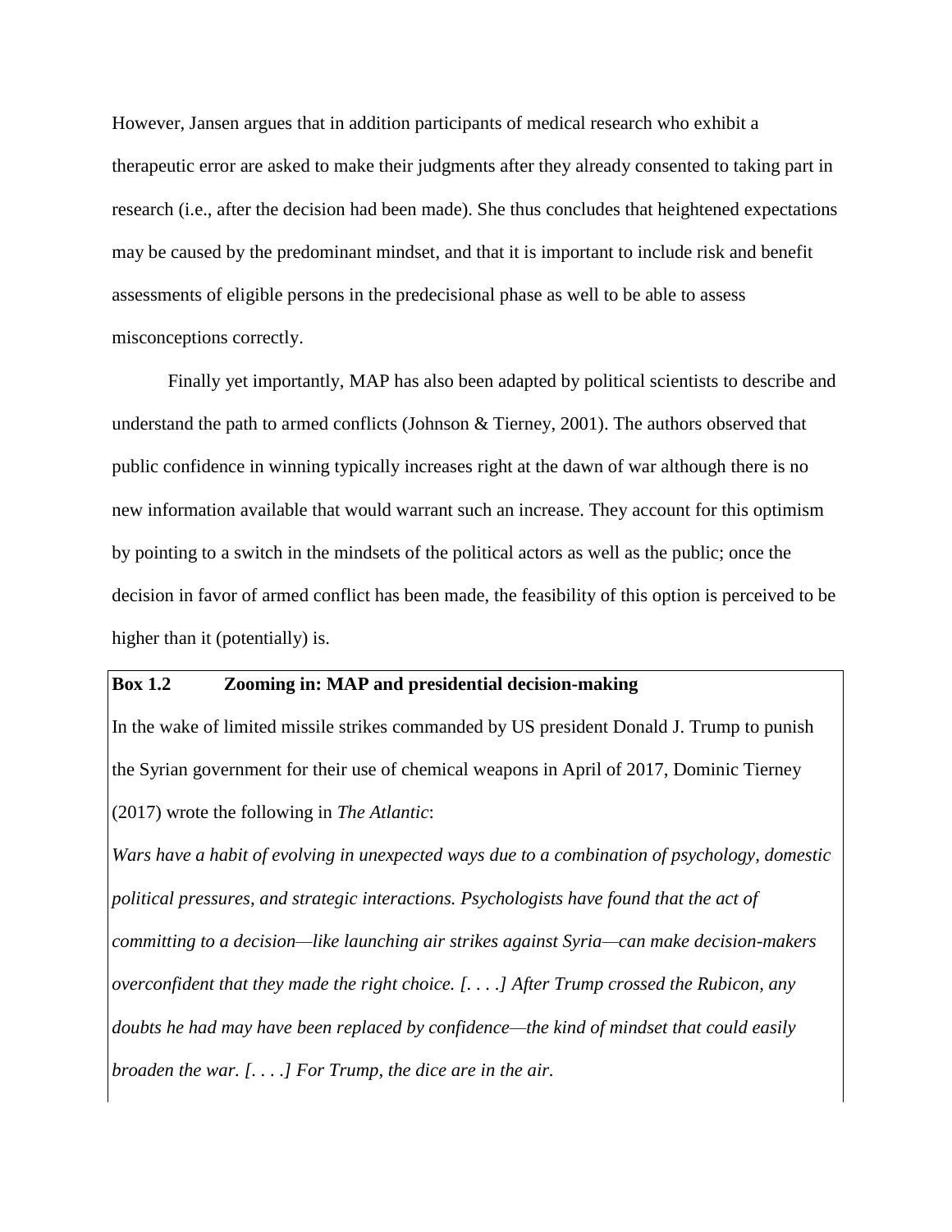However, Jansen argues that in addition participants of medical research who exhibit a therapeutic error are asked to make their judgments after they already consented to taking part in research (i.e., after the decision had been made). She thus concludes that heightened expectations may be caused by the predominant mindset, and that it is important to include risk and benefit assessments of eligible persons in the predecisional phase as well to be able to assess misconceptions correctly.

Finally yet importantly, MAP has also been adapted by political scientists to describe and understand the path to armed conflicts (Johnson  $\&$  Tierney, 2001). The authors observed that public confidence in winning typically increases right at the dawn of war although there is no new information available that would warrant such an increase. They account for this optimism by pointing to a switch in the mindsets of the political actors as well as the public; once the decision in favor of armed conflict has been made, the feasibility of this option is perceived to be higher than it (potentially) is.

### <span id="page-11-0"></span>**Box 1.2 Zooming in: MAP and presidential decision-making**

In the wake of limited missile strikes commanded by US president Donald J. Trump to punish the Syrian government for their use of chemical weapons in April of 2017, Dominic Tierney (2017) wrote the following in *The Atlantic*:

*Wars have a habit of evolving in unexpected ways due to a combination of psychology, domestic political pressures, and strategic interactions. Psychologists have found that the act of committing to a decision—like launching air strikes against Syria—can make decision-makers overconfident that they made the right choice. [. . . .] After Trump crossed the Rubicon, any doubts he had may have been replaced by confidence—the kind of mindset that could easily broaden the war. [. . . .] For Trump, the dice are in the air.*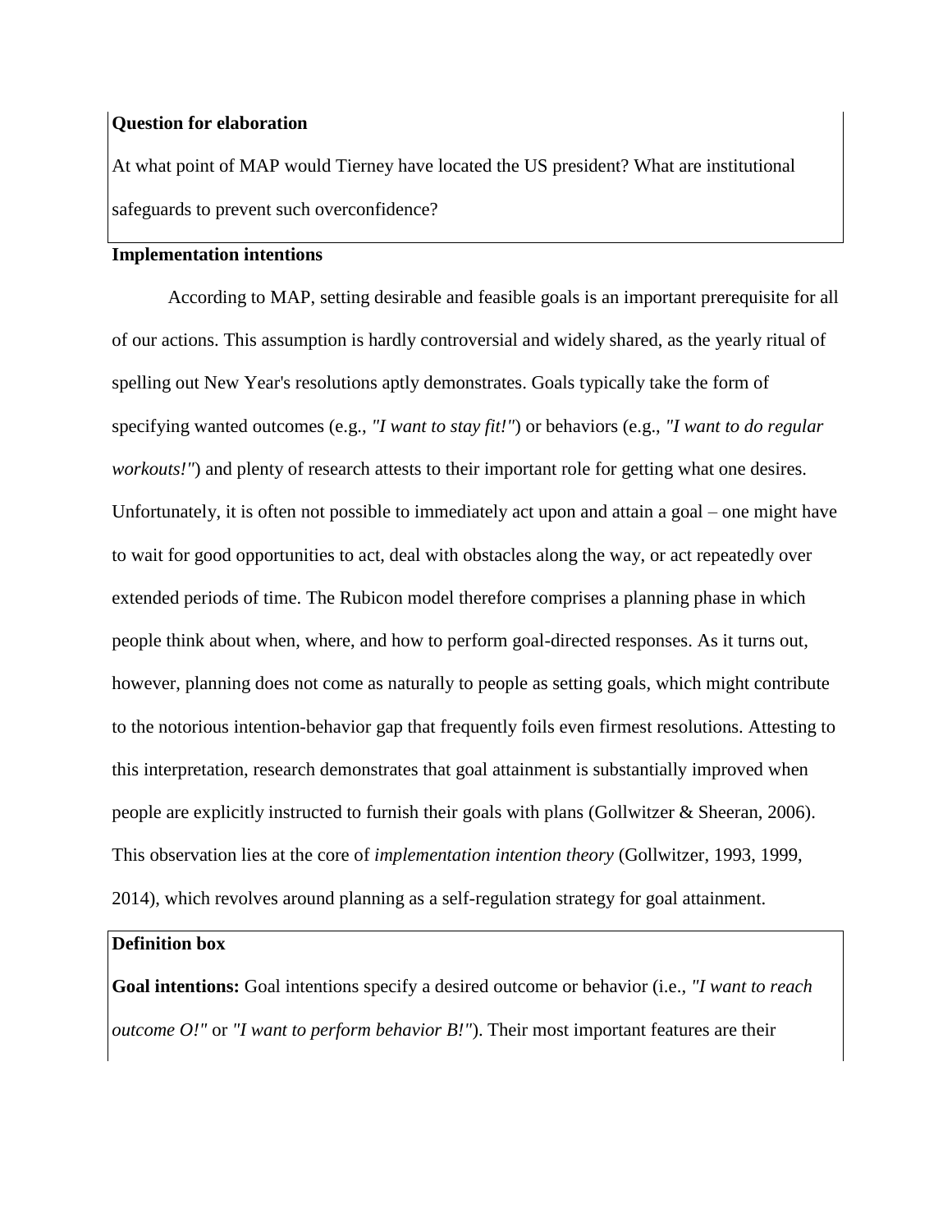#### **Question for elaboration**

At what point of MAP would Tierney have located the US president? What are institutional safeguards to prevent such overconfidence?

#### <span id="page-12-0"></span>**Implementation intentions**

According to MAP, setting desirable and feasible goals is an important prerequisite for all of our actions. This assumption is hardly controversial and widely shared, as the yearly ritual of spelling out New Year's resolutions aptly demonstrates. Goals typically take the form of specifying wanted outcomes (e.g., *"I want to stay fit!"*) or behaviors (e.g., *"I want to do regular workouts!"*) and plenty of research attests to their important role for getting what one desires. Unfortunately, it is often not possible to immediately act upon and attain a goal – one might have to wait for good opportunities to act, deal with obstacles along the way, or act repeatedly over extended periods of time. The Rubicon model therefore comprises a planning phase in which people think about when, where, and how to perform goal-directed responses. As it turns out, however, planning does not come as naturally to people as setting goals, which might contribute to the notorious intention-behavior gap that frequently foils even firmest resolutions. Attesting to this interpretation, research demonstrates that goal attainment is substantially improved when people are explicitly instructed to furnish their goals with plans (Gollwitzer & Sheeran, 2006). This observation lies at the core of *implementation intention theory* (Gollwitzer, 1993, 1999, 2014), which revolves around planning as a self-regulation strategy for goal attainment.

# <span id="page-12-1"></span>**Definition box**

**Goal intentions:** Goal intentions specify a desired outcome or behavior (i.e., *"I want to reach outcome O!"* or *"I want to perform behavior B!"*). Their most important features are their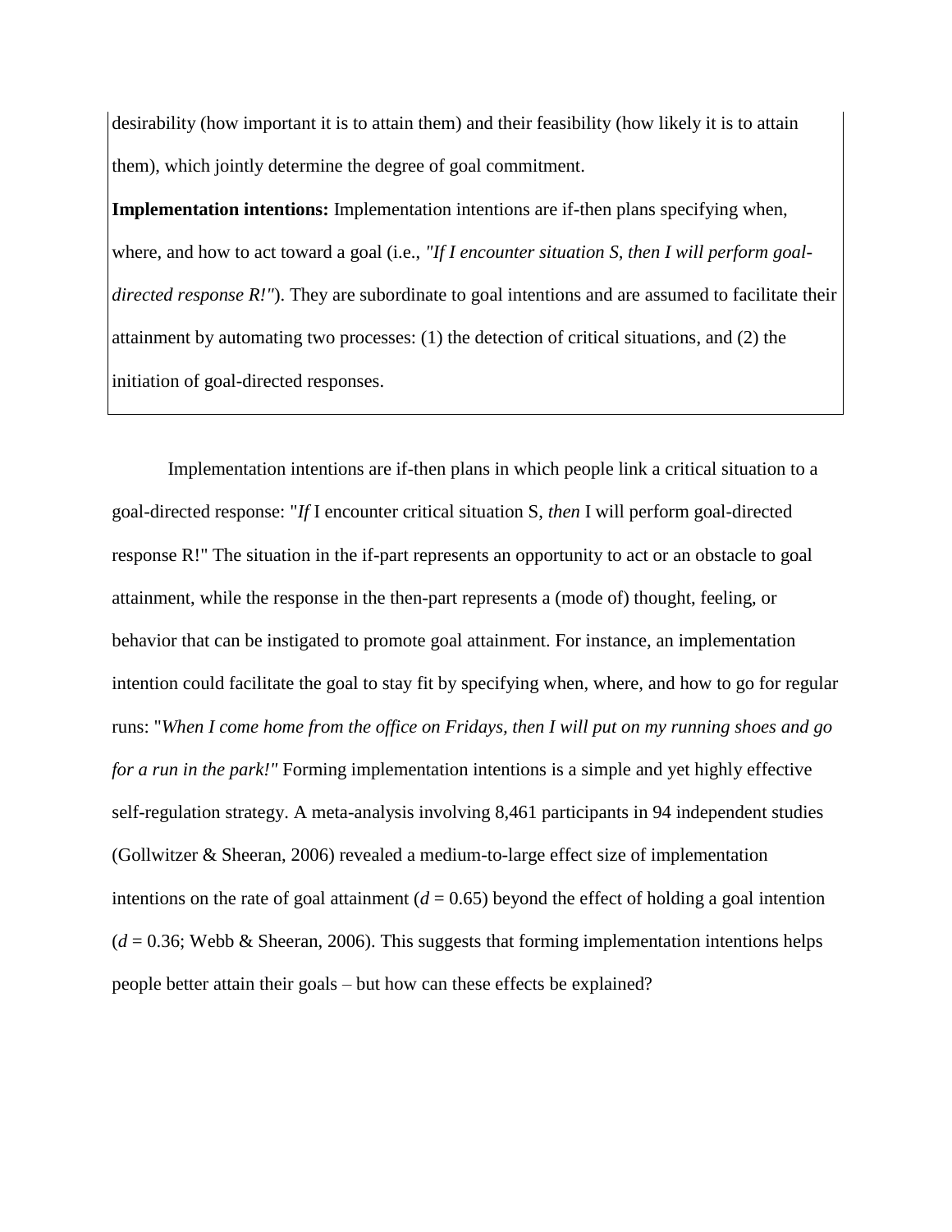desirability (how important it is to attain them) and their feasibility (how likely it is to attain them), which jointly determine the degree of goal commitment.

**Implementation intentions:** Implementation intentions are if-then plans specifying when, where, and how to act toward a goal (i.e., "If I encounter situation S, then I will perform goal*directed response R!"*). They are subordinate to goal intentions and are assumed to facilitate their attainment by automating two processes: (1) the detection of critical situations, and (2) the initiation of goal-directed responses.

Implementation intentions are if-then plans in which people link a critical situation to a goal-directed response: "*If* I encounter critical situation S, *then* I will perform goal-directed response R!" The situation in the if-part represents an opportunity to act or an obstacle to goal attainment, while the response in the then-part represents a (mode of) thought, feeling, or behavior that can be instigated to promote goal attainment. For instance, an implementation intention could facilitate the goal to stay fit by specifying when, where, and how to go for regular runs: "*When I come home from the office on Fridays, then I will put on my running shoes and go for a run in the park!"* Forming implementation intentions is a simple and yet highly effective self-regulation strategy. A meta-analysis involving 8,461 participants in 94 independent studies (Gollwitzer & Sheeran, 2006) revealed a medium-to-large effect size of implementation intentions on the rate of goal attainment  $(d = 0.65)$  beyond the effect of holding a goal intention  $(d = 0.36;$  Webb & Sheeran, 2006). This suggests that forming implementation intentions helps people better attain their goals – but how can these effects be explained?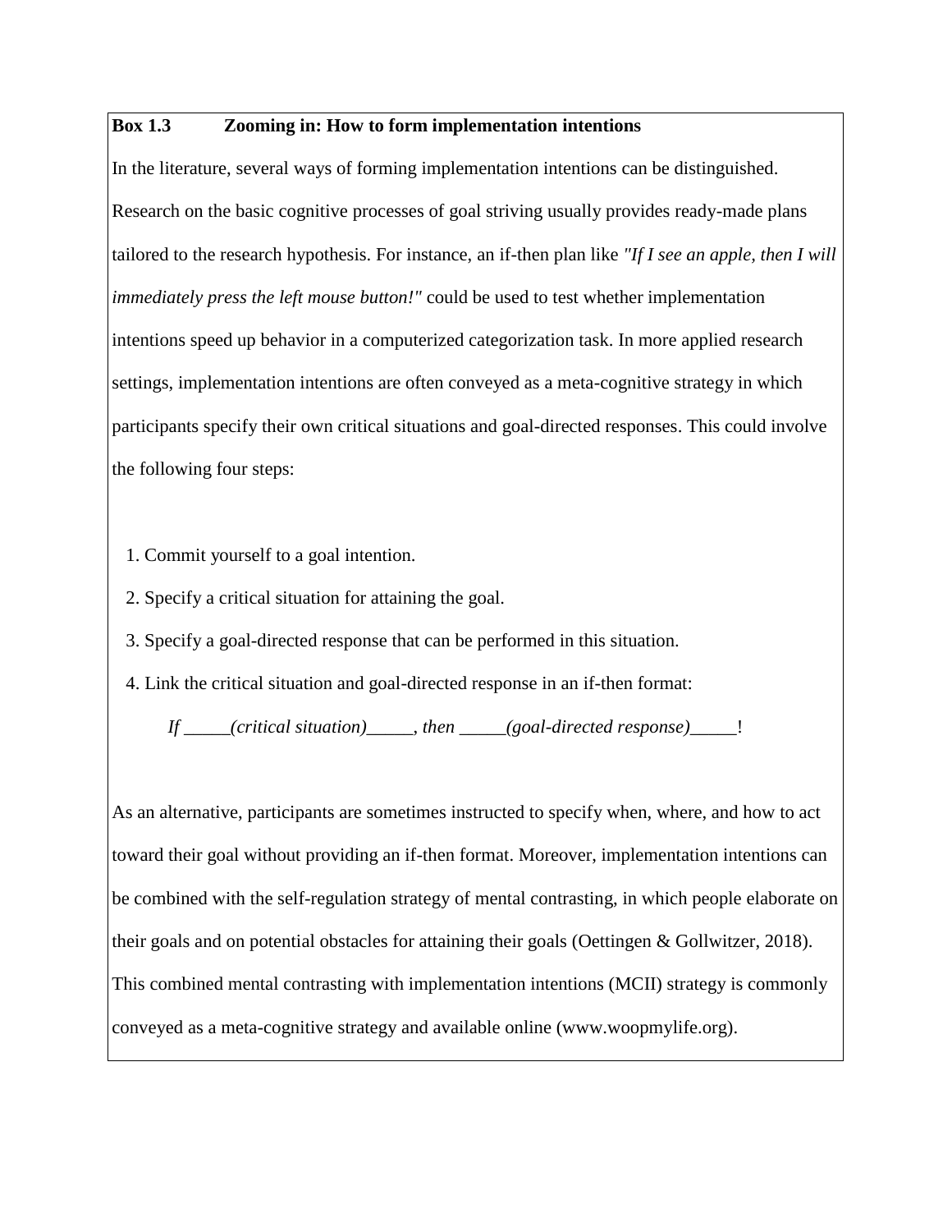# <span id="page-14-0"></span>**Box 1.3 Zooming in: How to form implementation intentions**

In the literature, several ways of forming implementation intentions can be distinguished. Research on the basic cognitive processes of goal striving usually provides ready-made plans tailored to the research hypothesis. For instance, an if-then plan like *"If I see an apple, then I will immediately press the left mouse button!"* could be used to test whether implementation intentions speed up behavior in a computerized categorization task. In more applied research settings, implementation intentions are often conveyed as a meta-cognitive strategy in which participants specify their own critical situations and goal-directed responses. This could involve the following four steps:

- 1. Commit yourself to a goal intention.
- 2. Specify a critical situation for attaining the goal.
- 3. Specify a goal-directed response that can be performed in this situation.
- 4. Link the critical situation and goal-directed response in an if-then format:

*If* \_\_\_\_\_*(critical situation)*\_\_\_\_\_, *then* \_\_\_\_\_*(goal-directed response)*\_\_\_\_\_!

As an alternative, participants are sometimes instructed to specify when, where, and how to act toward their goal without providing an if-then format. Moreover, implementation intentions can be combined with the self-regulation strategy of mental contrasting, in which people elaborate on their goals and on potential obstacles for attaining their goals (Oettingen & Gollwitzer, 2018). This combined mental contrasting with implementation intentions (MCII) strategy is commonly conveyed as a meta-cognitive strategy and available online (www.woopmylife.org).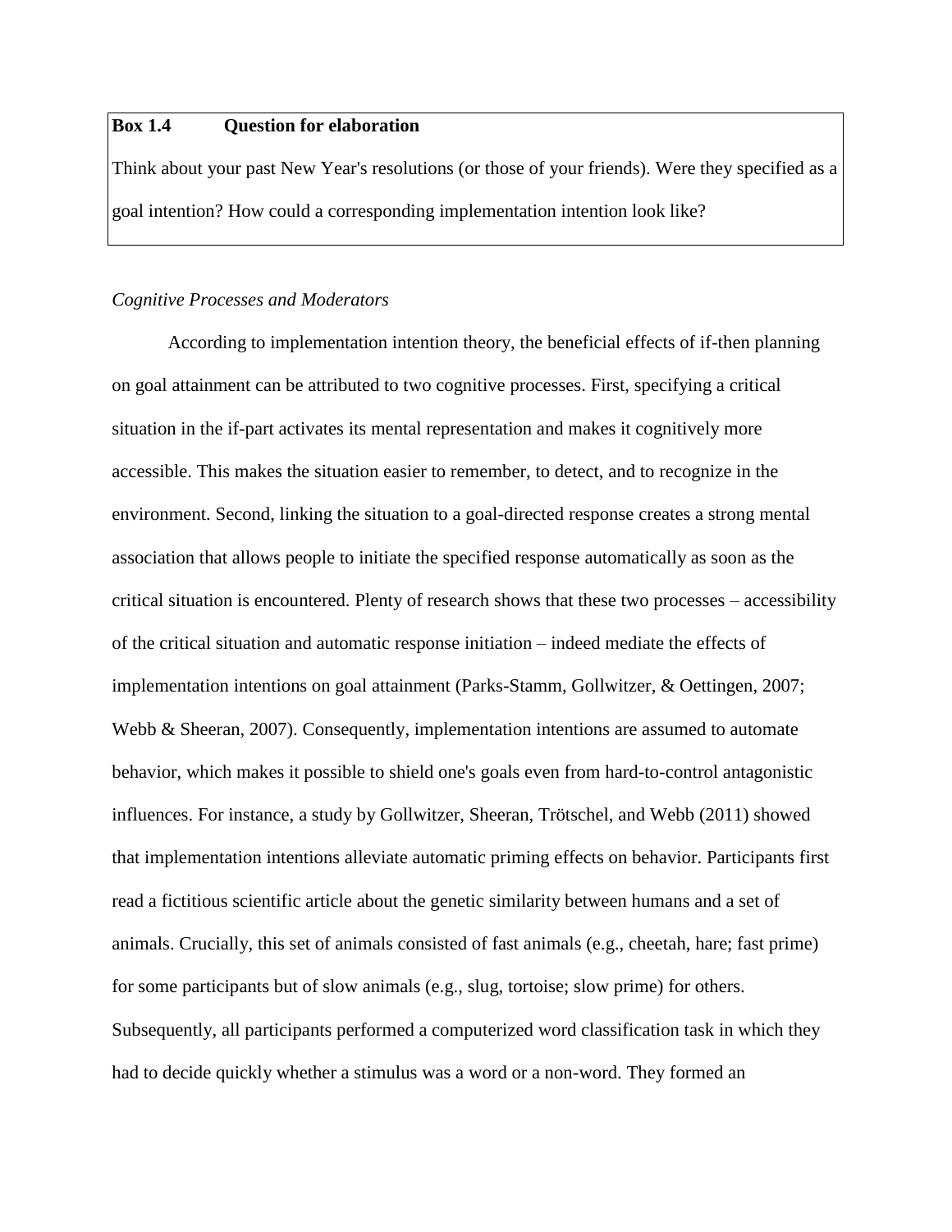#### <span id="page-15-0"></span>**Box 1.4 Question for elaboration**

Think about your past New Year's resolutions (or those of your friends). Were they specified as a goal intention? How could a corresponding implementation intention look like?

### <span id="page-15-1"></span>*Cognitive Processes and Moderators*

According to implementation intention theory, the beneficial effects of if-then planning on goal attainment can be attributed to two cognitive processes. First, specifying a critical situation in the if-part activates its mental representation and makes it cognitively more accessible. This makes the situation easier to remember, to detect, and to recognize in the environment. Second, linking the situation to a goal-directed response creates a strong mental association that allows people to initiate the specified response automatically as soon as the critical situation is encountered. Plenty of research shows that these two processes – accessibility of the critical situation and automatic response initiation – indeed mediate the effects of implementation intentions on goal attainment (Parks-Stamm, Gollwitzer, & Oettingen, 2007; Webb & Sheeran, 2007). Consequently, implementation intentions are assumed to automate behavior, which makes it possible to shield one's goals even from hard-to-control antagonistic influences. For instance, a study by Gollwitzer, Sheeran, Trötschel, and Webb (2011) showed that implementation intentions alleviate automatic priming effects on behavior. Participants first read a fictitious scientific article about the genetic similarity between humans and a set of animals. Crucially, this set of animals consisted of fast animals (e.g., cheetah, hare; fast prime) for some participants but of slow animals (e.g., slug, tortoise; slow prime) for others. Subsequently, all participants performed a computerized word classification task in which they had to decide quickly whether a stimulus was a word or a non-word. They formed an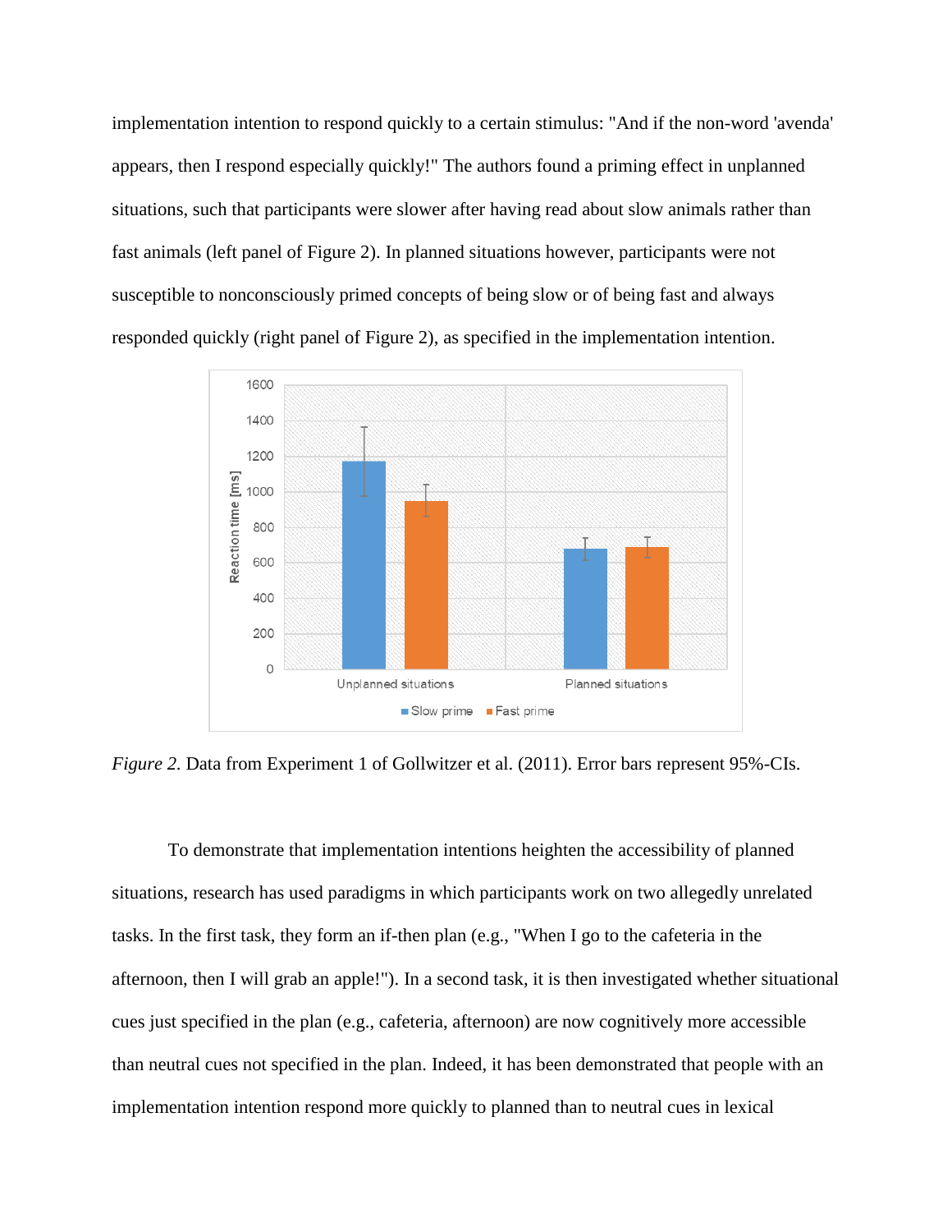implementation intention to respond quickly to a certain stimulus: "And if the non-word 'avenda' appears, then I respond especially quickly!" The authors found a priming effect in unplanned situations, such that participants were slower after having read about slow animals rather than fast animals (left panel of [Figure 2\)](#page-16-0). In planned situations however, participants were not susceptible to nonconsciously primed concepts of being slow or of being fast and always responded quickly (right panel of [Figure 2\)](#page-16-0), as specified in the implementation intention.



<span id="page-16-0"></span>*Figure 2.* Data from Experiment 1 of Gollwitzer et al. (2011). Error bars represent 95%-CIs.

To demonstrate that implementation intentions heighten the accessibility of planned situations, research has used paradigms in which participants work on two allegedly unrelated tasks. In the first task, they form an if-then plan (e.g., "When I go to the cafeteria in the afternoon, then I will grab an apple!"). In a second task, it is then investigated whether situational cues just specified in the plan (e.g., cafeteria, afternoon) are now cognitively more accessible than neutral cues not specified in the plan. Indeed, it has been demonstrated that people with an implementation intention respond more quickly to planned than to neutral cues in lexical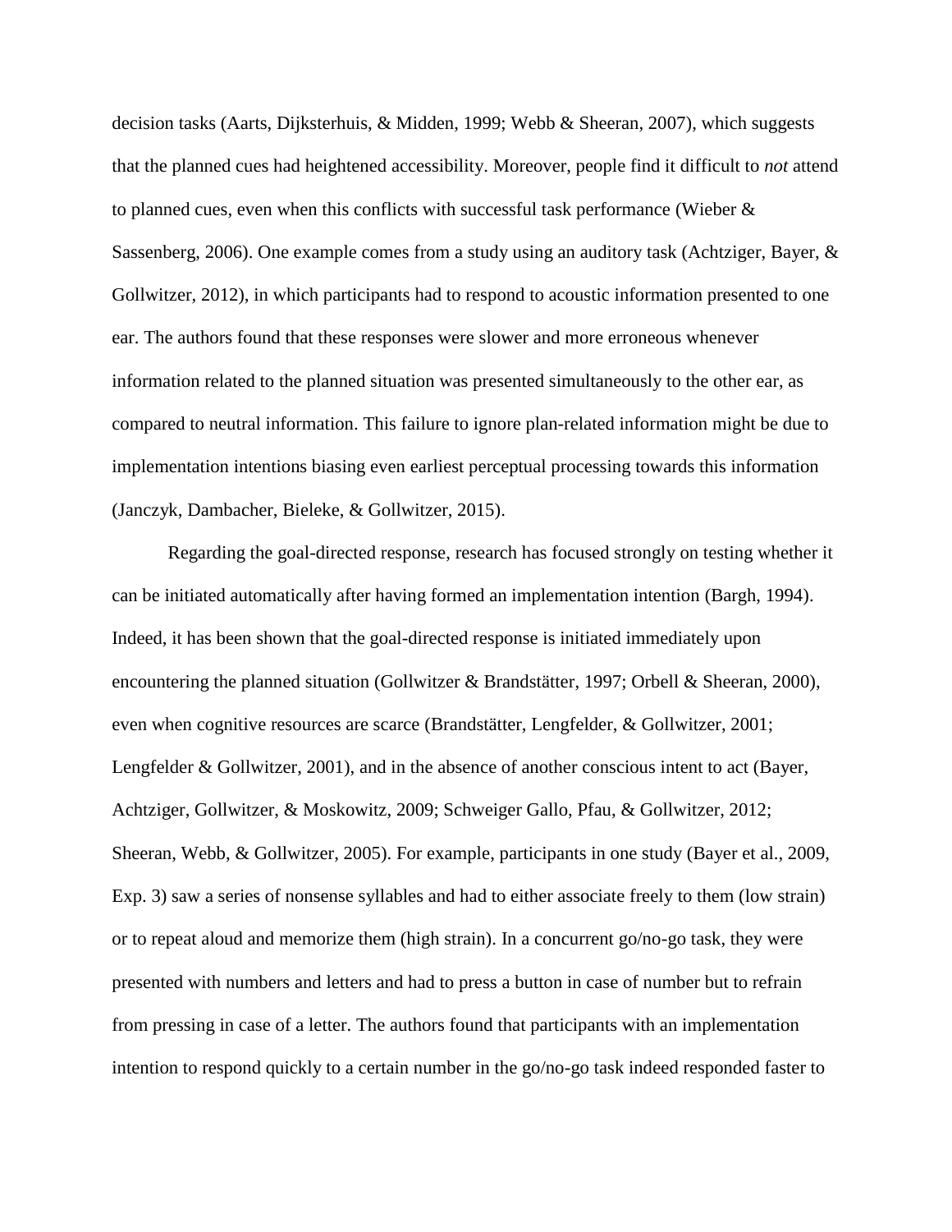decision tasks (Aarts, Dijksterhuis, & Midden, 1999; Webb & Sheeran, 2007), which suggests that the planned cues had heightened accessibility. Moreover, people find it difficult to *not* attend to planned cues, even when this conflicts with successful task performance (Wieber  $\&$ Sassenberg, 2006). One example comes from a study using an auditory task (Achtziger, Bayer, & Gollwitzer, 2012), in which participants had to respond to acoustic information presented to one ear. The authors found that these responses were slower and more erroneous whenever information related to the planned situation was presented simultaneously to the other ear, as compared to neutral information. This failure to ignore plan-related information might be due to implementation intentions biasing even earliest perceptual processing towards this information (Janczyk, Dambacher, Bieleke, & Gollwitzer, 2015).

Regarding the goal-directed response, research has focused strongly on testing whether it can be initiated automatically after having formed an implementation intention (Bargh, 1994). Indeed, it has been shown that the goal-directed response is initiated immediately upon encountering the planned situation (Gollwitzer & Brandstätter, 1997; Orbell & Sheeran, 2000), even when cognitive resources are scarce (Brandstätter, Lengfelder, & Gollwitzer, 2001; Lengfelder & Gollwitzer, 2001), and in the absence of another conscious intent to act (Bayer, Achtziger, Gollwitzer, & Moskowitz, 2009; Schweiger Gallo, Pfau, & Gollwitzer, 2012; Sheeran, Webb, & Gollwitzer, 2005). For example, participants in one study (Bayer et al., 2009, Exp. 3) saw a series of nonsense syllables and had to either associate freely to them (low strain) or to repeat aloud and memorize them (high strain). In a concurrent go/no-go task, they were presented with numbers and letters and had to press a button in case of number but to refrain from pressing in case of a letter. The authors found that participants with an implementation intention to respond quickly to a certain number in the go/no-go task indeed responded faster to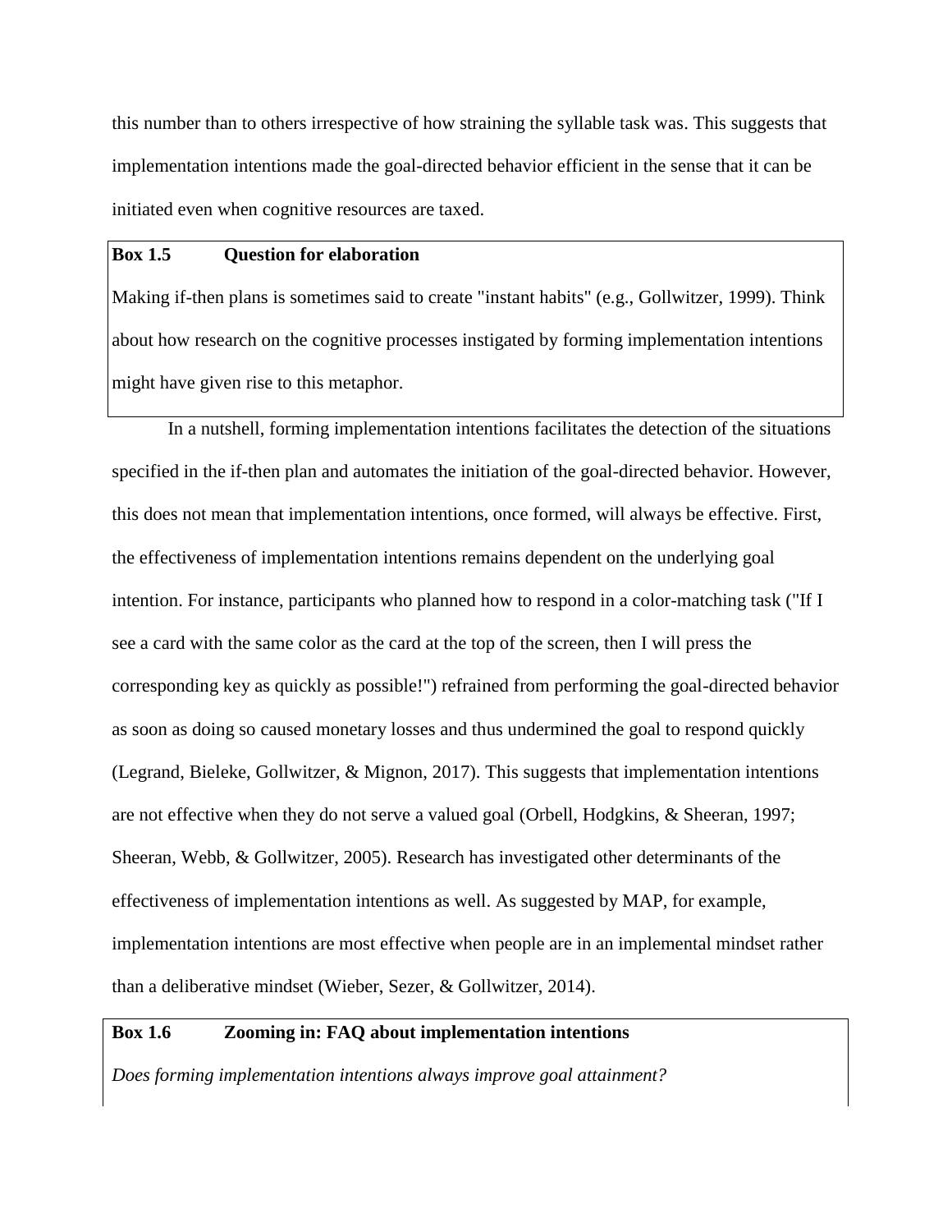this number than to others irrespective of how straining the syllable task was. This suggests that implementation intentions made the goal-directed behavior efficient in the sense that it can be initiated even when cognitive resources are taxed.

#### <span id="page-18-0"></span>**Box 1.5 Question for elaboration**

Making if-then plans is sometimes said to create "instant habits" (e.g., Gollwitzer, 1999). Think about how research on the cognitive processes instigated by forming implementation intentions might have given rise to this metaphor.

In a nutshell, forming implementation intentions facilitates the detection of the situations specified in the if-then plan and automates the initiation of the goal-directed behavior. However, this does not mean that implementation intentions, once formed, will always be effective. First, the effectiveness of implementation intentions remains dependent on the underlying goal intention. For instance, participants who planned how to respond in a color-matching task ("If I see a card with the same color as the card at the top of the screen, then I will press the corresponding key as quickly as possible!") refrained from performing the goal-directed behavior as soon as doing so caused monetary losses and thus undermined the goal to respond quickly (Legrand, Bieleke, Gollwitzer, & Mignon, 2017). This suggests that implementation intentions are not effective when they do not serve a valued goal (Orbell, Hodgkins, & Sheeran, 1997; Sheeran, Webb, & Gollwitzer, 2005). Research has investigated other determinants of the effectiveness of implementation intentions as well. As suggested by MAP, for example, implementation intentions are most effective when people are in an implemental mindset rather than a deliberative mindset (Wieber, Sezer, & Gollwitzer, 2014).

#### <span id="page-18-1"></span>**Box 1.6 Zooming in: FAQ about implementation intentions**

*Does forming implementation intentions always improve goal attainment?*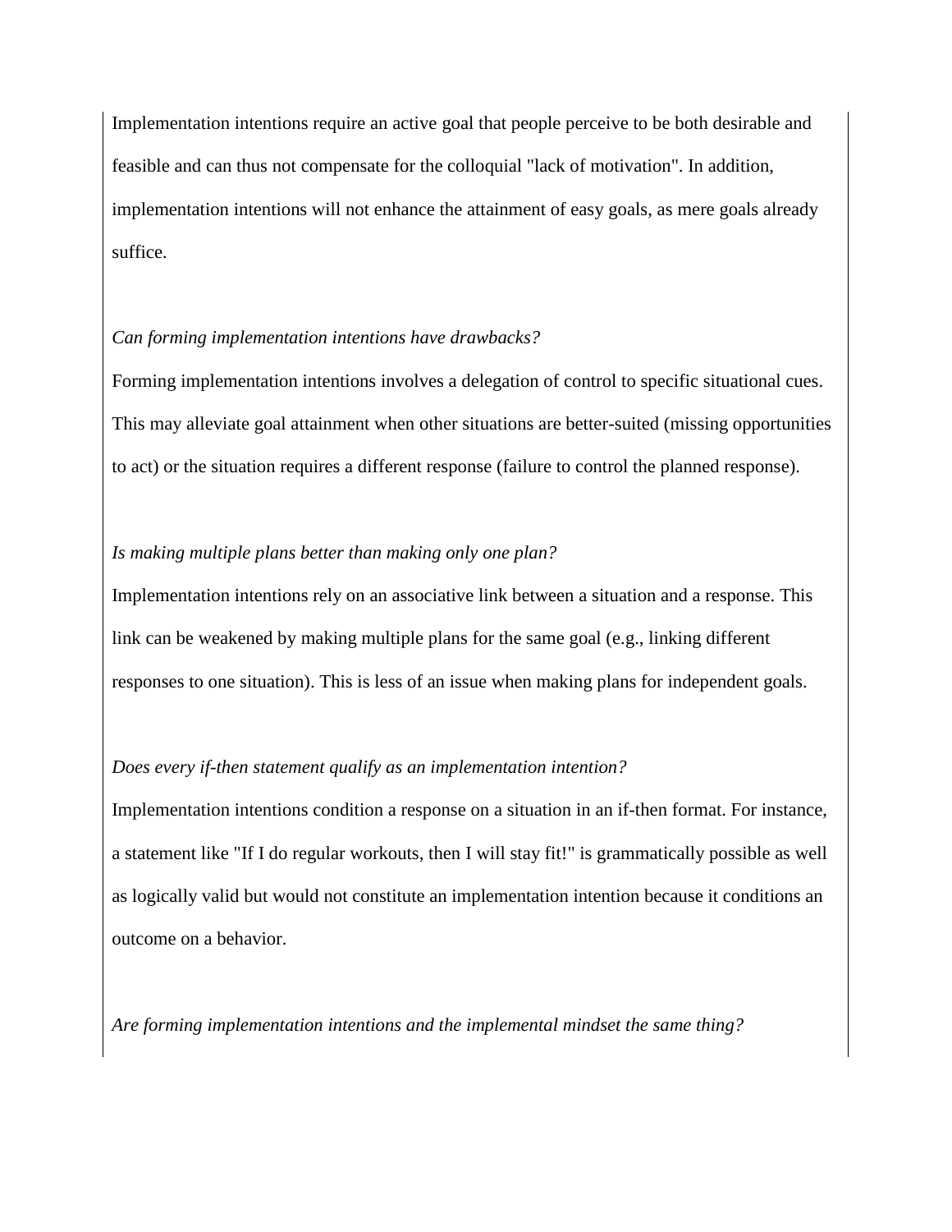Implementation intentions require an active goal that people perceive to be both desirable and feasible and can thus not compensate for the colloquial "lack of motivation". In addition, implementation intentions will not enhance the attainment of easy goals, as mere goals already suffice.

### *Can forming implementation intentions have drawbacks?*

Forming implementation intentions involves a delegation of control to specific situational cues. This may alleviate goal attainment when other situations are better-suited (missing opportunities to act) or the situation requires a different response (failure to control the planned response).

### *Is making multiple plans better than making only one plan?*

Implementation intentions rely on an associative link between a situation and a response. This link can be weakened by making multiple plans for the same goal (e.g., linking different responses to one situation). This is less of an issue when making plans for independent goals.

# *Does every if-then statement qualify as an implementation intention?*

Implementation intentions condition a response on a situation in an if-then format. For instance, a statement like "If I do regular workouts, then I will stay fit!" is grammatically possible as well as logically valid but would not constitute an implementation intention because it conditions an outcome on a behavior.

*Are forming implementation intentions and the implemental mindset the same thing?*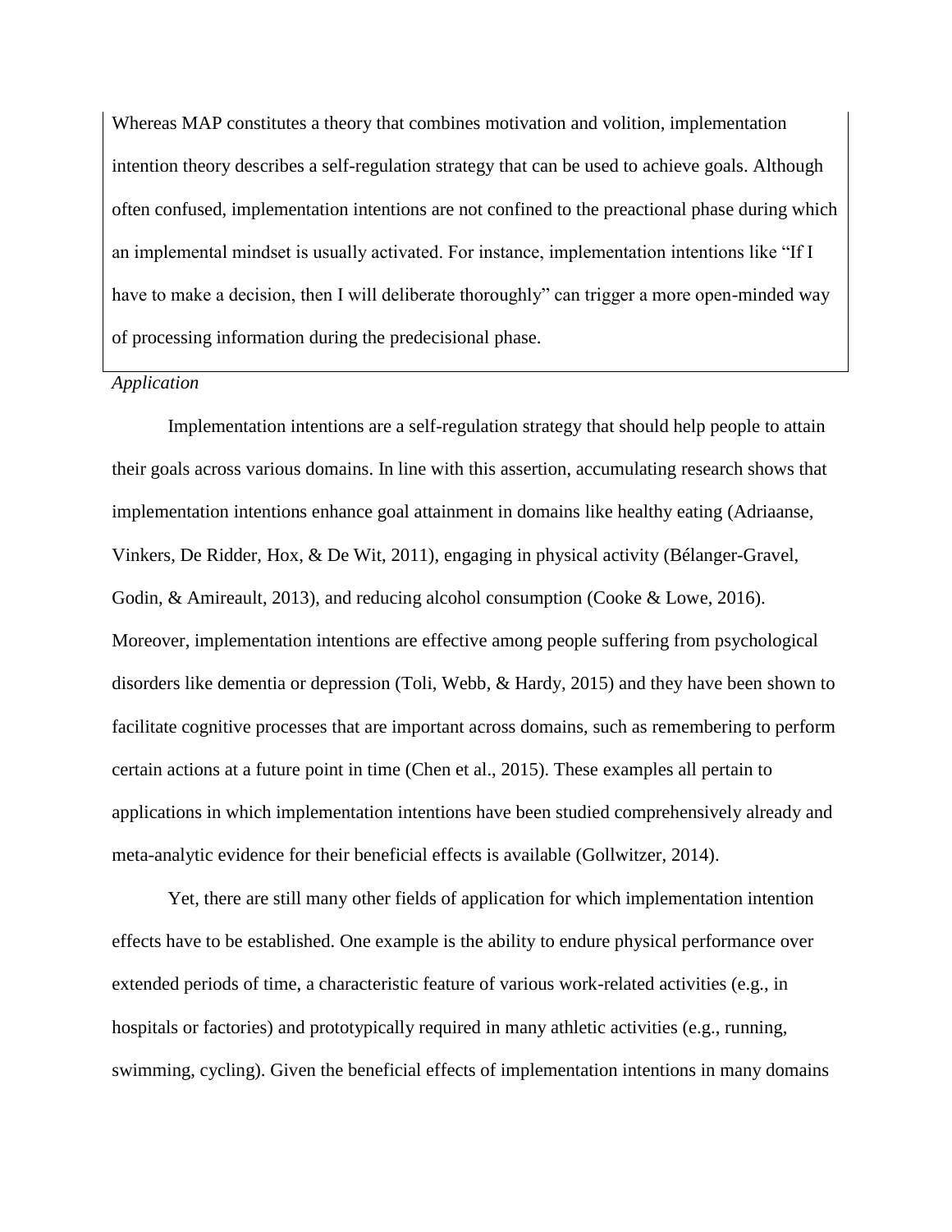Whereas MAP constitutes a theory that combines motivation and volition, implementation intention theory describes a self-regulation strategy that can be used to achieve goals. Although often confused, implementation intentions are not confined to the preactional phase during which an implemental mindset is usually activated. For instance, implementation intentions like "If I have to make a decision, then I will deliberate thoroughly" can trigger a more open-minded way of processing information during the predecisional phase.

#### <span id="page-20-0"></span>*Application*

Implementation intentions are a self-regulation strategy that should help people to attain their goals across various domains. In line with this assertion, accumulating research shows that implementation intentions enhance goal attainment in domains like healthy eating (Adriaanse, Vinkers, De Ridder, Hox, & De Wit, 2011), engaging in physical activity (Bélanger-Gravel, Godin, & Amireault, 2013), and reducing alcohol consumption (Cooke & Lowe, 2016). Moreover, implementation intentions are effective among people suffering from psychological disorders like dementia or depression (Toli, Webb, & Hardy, 2015) and they have been shown to facilitate cognitive processes that are important across domains, such as remembering to perform certain actions at a future point in time (Chen et al., 2015). These examples all pertain to applications in which implementation intentions have been studied comprehensively already and meta-analytic evidence for their beneficial effects is available (Gollwitzer, 2014).

Yet, there are still many other fields of application for which implementation intention effects have to be established. One example is the ability to endure physical performance over extended periods of time, a characteristic feature of various work-related activities (e.g., in hospitals or factories) and prototypically required in many athletic activities (e.g., running, swimming, cycling). Given the beneficial effects of implementation intentions in many domains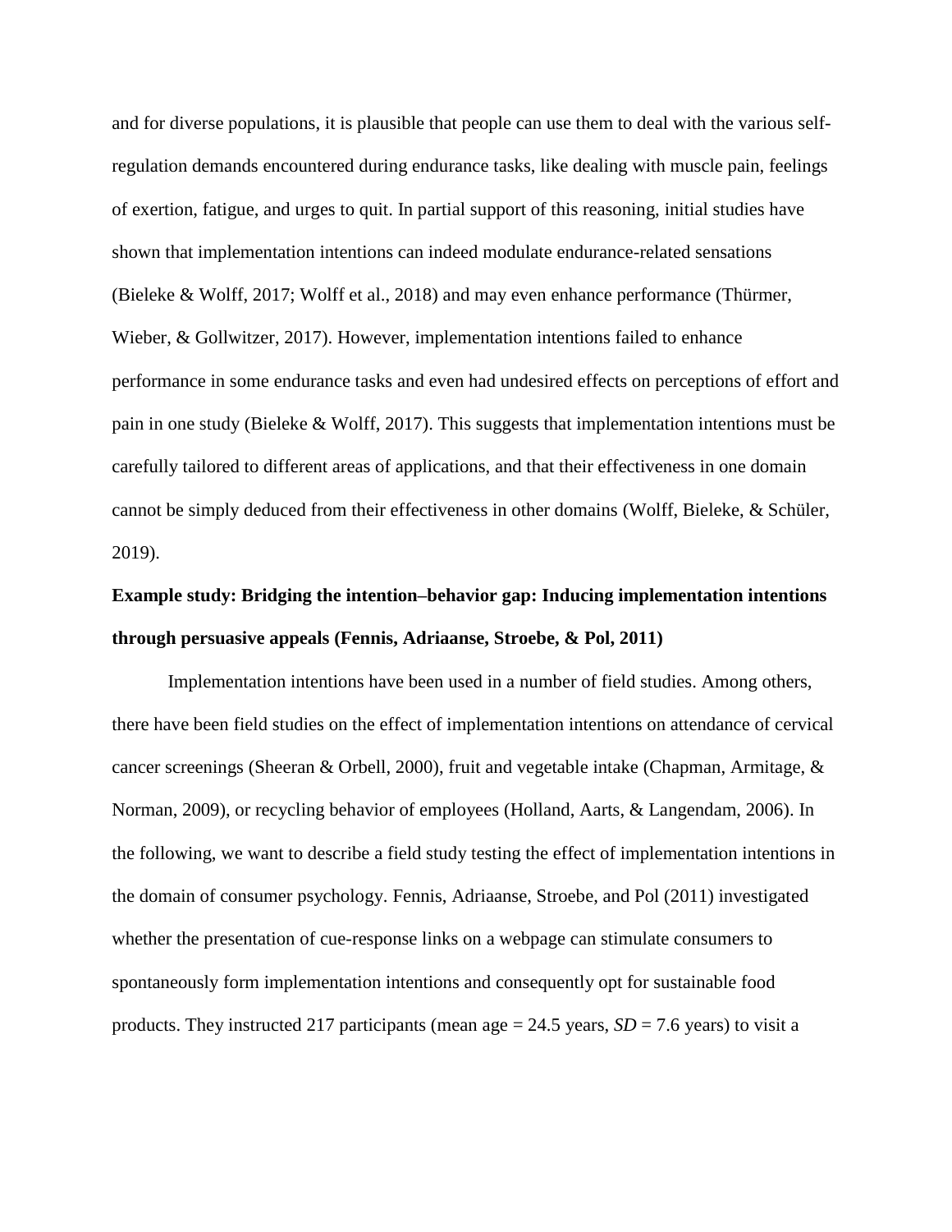and for diverse populations, it is plausible that people can use them to deal with the various selfregulation demands encountered during endurance tasks, like dealing with muscle pain, feelings of exertion, fatigue, and urges to quit. In partial support of this reasoning, initial studies have shown that implementation intentions can indeed modulate endurance-related sensations (Bieleke & Wolff, 2017; Wolff et al., 2018) and may even enhance performance (Thürmer, Wieber, & Gollwitzer, 2017). However, implementation intentions failed to enhance performance in some endurance tasks and even had undesired effects on perceptions of effort and pain in one study (Bieleke & Wolff, 2017). This suggests that implementation intentions must be carefully tailored to different areas of applications, and that their effectiveness in one domain cannot be simply deduced from their effectiveness in other domains (Wolff, Bieleke, & Schüler, 2019).

# <span id="page-21-0"></span>**Example study: Bridging the intention–behavior gap: Inducing implementation intentions through persuasive appeals (Fennis, Adriaanse, Stroebe, & Pol, 2011)**

Implementation intentions have been used in a number of field studies. Among others, there have been field studies on the effect of implementation intentions on attendance of cervical cancer screenings (Sheeran & Orbell, 2000), fruit and vegetable intake (Chapman, Armitage, & Norman, 2009), or recycling behavior of employees (Holland, Aarts, & Langendam, 2006). In the following, we want to describe a field study testing the effect of implementation intentions in the domain of consumer psychology. Fennis, Adriaanse, Stroebe, and Pol (2011) investigated whether the presentation of cue-response links on a webpage can stimulate consumers to spontaneously form implementation intentions and consequently opt for sustainable food products. They instructed 217 participants (mean age  $= 24.5$  years,  $SD = 7.6$  years) to visit a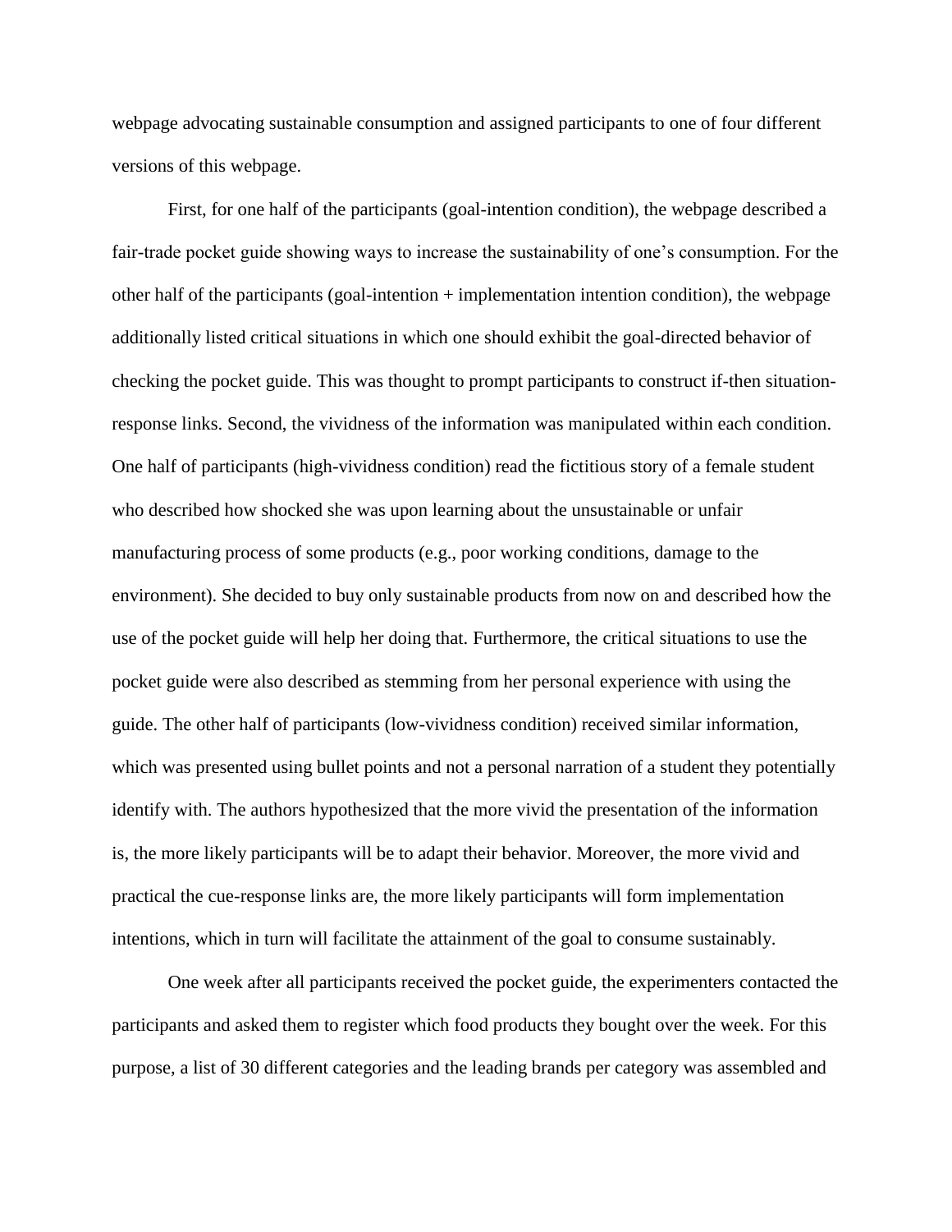webpage advocating sustainable consumption and assigned participants to one of four different versions of this webpage.

First, for one half of the participants (goal-intention condition), the webpage described a fair-trade pocket guide showing ways to increase the sustainability of one's consumption. For the other half of the participants (goal-intention  $+$  implementation intention condition), the webpage additionally listed critical situations in which one should exhibit the goal-directed behavior of checking the pocket guide. This was thought to prompt participants to construct if-then situationresponse links. Second, the vividness of the information was manipulated within each condition. One half of participants (high-vividness condition) read the fictitious story of a female student who described how shocked she was upon learning about the unsustainable or unfair manufacturing process of some products (e.g., poor working conditions, damage to the environment). She decided to buy only sustainable products from now on and described how the use of the pocket guide will help her doing that. Furthermore, the critical situations to use the pocket guide were also described as stemming from her personal experience with using the guide. The other half of participants (low-vividness condition) received similar information, which was presented using bullet points and not a personal narration of a student they potentially identify with. The authors hypothesized that the more vivid the presentation of the information is, the more likely participants will be to adapt their behavior. Moreover, the more vivid and practical the cue-response links are, the more likely participants will form implementation intentions, which in turn will facilitate the attainment of the goal to consume sustainably.

One week after all participants received the pocket guide, the experimenters contacted the participants and asked them to register which food products they bought over the week. For this purpose, a list of 30 different categories and the leading brands per category was assembled and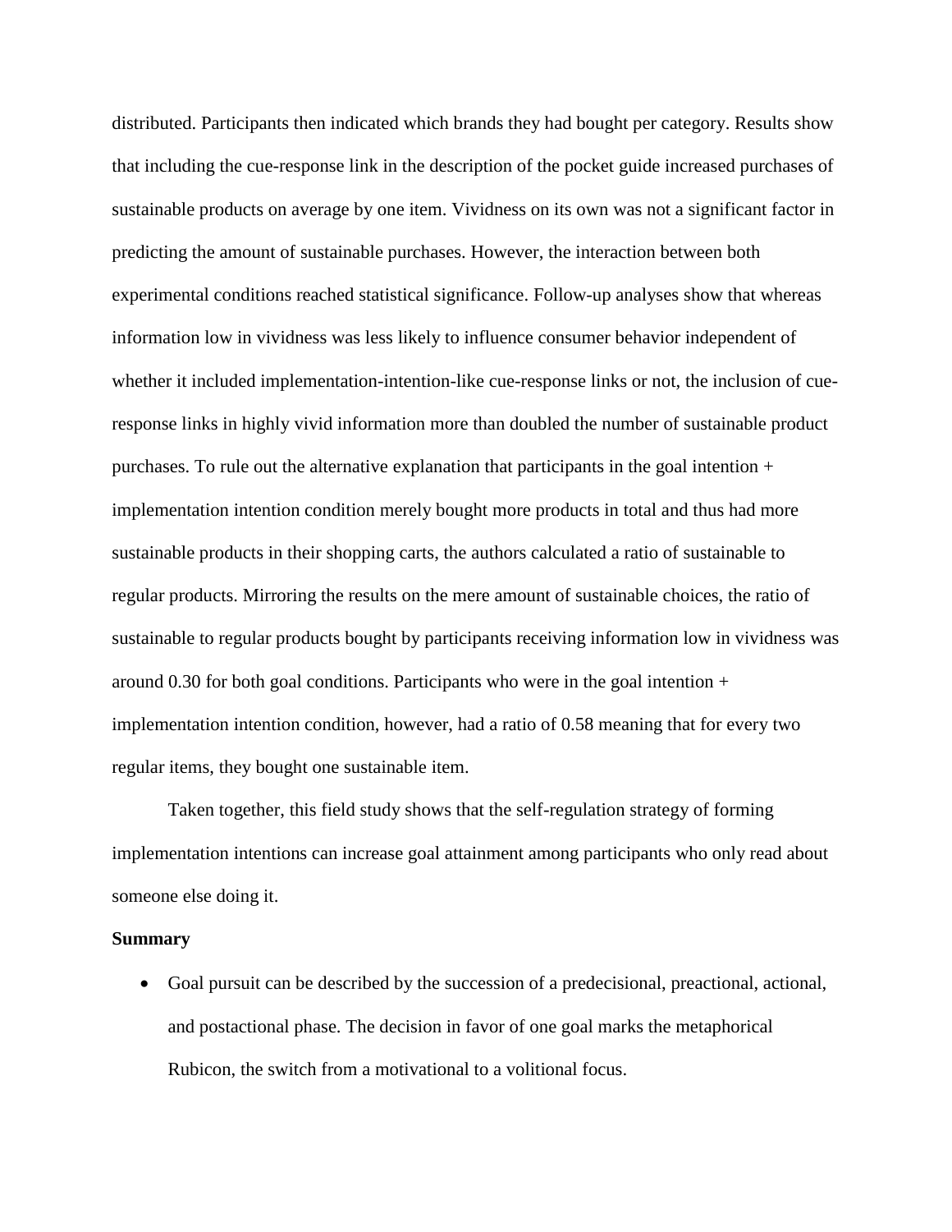distributed. Participants then indicated which brands they had bought per category. Results show that including the cue-response link in the description of the pocket guide increased purchases of sustainable products on average by one item. Vividness on its own was not a significant factor in predicting the amount of sustainable purchases. However, the interaction between both experimental conditions reached statistical significance. Follow-up analyses show that whereas information low in vividness was less likely to influence consumer behavior independent of whether it included implementation-intention-like cue-response links or not, the inclusion of cueresponse links in highly vivid information more than doubled the number of sustainable product purchases. To rule out the alternative explanation that participants in the goal intention + implementation intention condition merely bought more products in total and thus had more sustainable products in their shopping carts, the authors calculated a ratio of sustainable to regular products. Mirroring the results on the mere amount of sustainable choices, the ratio of sustainable to regular products bought by participants receiving information low in vividness was around 0.30 for both goal conditions. Participants who were in the goal intention  $+$ implementation intention condition, however, had a ratio of 0.58 meaning that for every two regular items, they bought one sustainable item.

Taken together, this field study shows that the self-regulation strategy of forming implementation intentions can increase goal attainment among participants who only read about someone else doing it.

#### <span id="page-23-0"></span>**Summary**

• Goal pursuit can be described by the succession of a predecisional, preactional, actional, and postactional phase. The decision in favor of one goal marks the metaphorical Rubicon, the switch from a motivational to a volitional focus.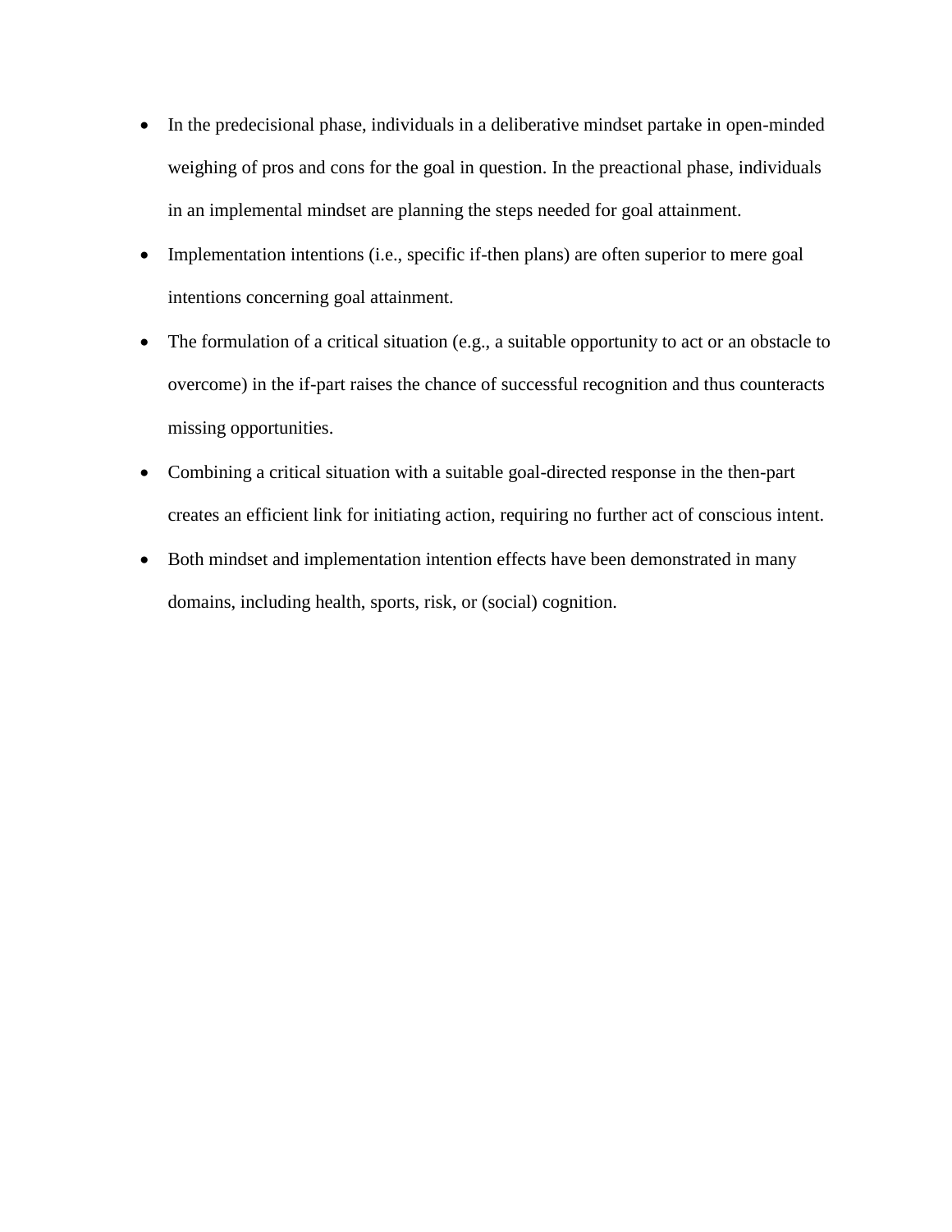- In the predecisional phase, individuals in a deliberative mindset partake in open-minded weighing of pros and cons for the goal in question. In the preactional phase, individuals in an implemental mindset are planning the steps needed for goal attainment.
- Implementation intentions (i.e., specific if-then plans) are often superior to mere goal intentions concerning goal attainment.
- The formulation of a critical situation (e.g., a suitable opportunity to act or an obstacle to overcome) in the if-part raises the chance of successful recognition and thus counteracts missing opportunities.
- Combining a critical situation with a suitable goal-directed response in the then-part creates an efficient link for initiating action, requiring no further act of conscious intent.
- Both mindset and implementation intention effects have been demonstrated in many domains, including health, sports, risk, or (social) cognition.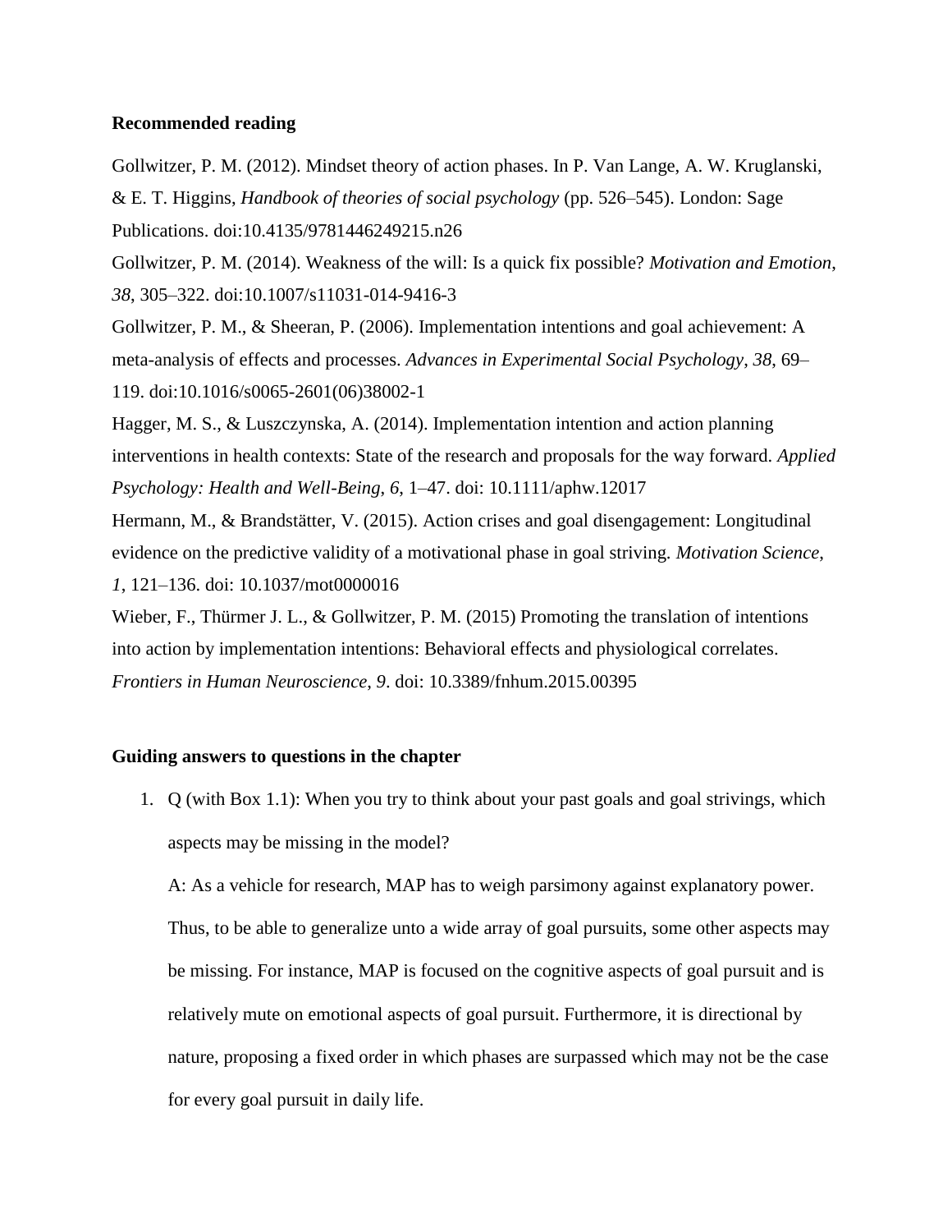#### <span id="page-25-0"></span>**Recommended reading**

Gollwitzer, P. M. (2012). Mindset theory of action phases. In P. Van Lange, A. W. Kruglanski, & E. T. Higgins, *Handbook of theories of social psychology* (pp. 526–545). London: Sage Publications. doi:10.4135/9781446249215.n26 Gollwitzer, P. M. (2014). Weakness of the will: Is a quick fix possible? *Motivation and Emotion*, *38*, 305–322. doi:10.1007/s11031-014-9416-3 Gollwitzer, P. M., & Sheeran, P. (2006). Implementation intentions and goal achievement: A meta-analysis of effects and processes. *Advances in Experimental Social Psychology*, *38*, 69– 119. doi:10.1016/s0065-2601(06)38002-1 Hagger, M. S., & Luszczynska, A. (2014). Implementation intention and action planning interventions in health contexts: State of the research and proposals for the way forward. *Applied Psychology: Health and Well-Being*, *6*, 1–47. doi: 10.1111/aphw.12017 Hermann, M., & Brandstätter, V. (2015). Action crises and goal disengagement: Longitudinal evidence on the predictive validity of a motivational phase in goal striving. *Motivation Science*, *1*, 121–136. doi: 10.1037/mot0000016

Wieber, F., Thürmer J. L., & Gollwitzer, P. M. (2015) Promoting the translation of intentions into action by implementation intentions: Behavioral effects and physiological correlates. *Frontiers in Human Neuroscience*, *9*. doi: 10.3389/fnhum.2015.00395

### <span id="page-25-1"></span>**Guiding answers to questions in the chapter**

1. Q (with Box 1.1): When you try to think about your past goals and goal strivings, which aspects may be missing in the model?

A: As a vehicle for research, MAP has to weigh parsimony against explanatory power. Thus, to be able to generalize unto a wide array of goal pursuits, some other aspects may be missing. For instance, MAP is focused on the cognitive aspects of goal pursuit and is relatively mute on emotional aspects of goal pursuit. Furthermore, it is directional by nature, proposing a fixed order in which phases are surpassed which may not be the case for every goal pursuit in daily life.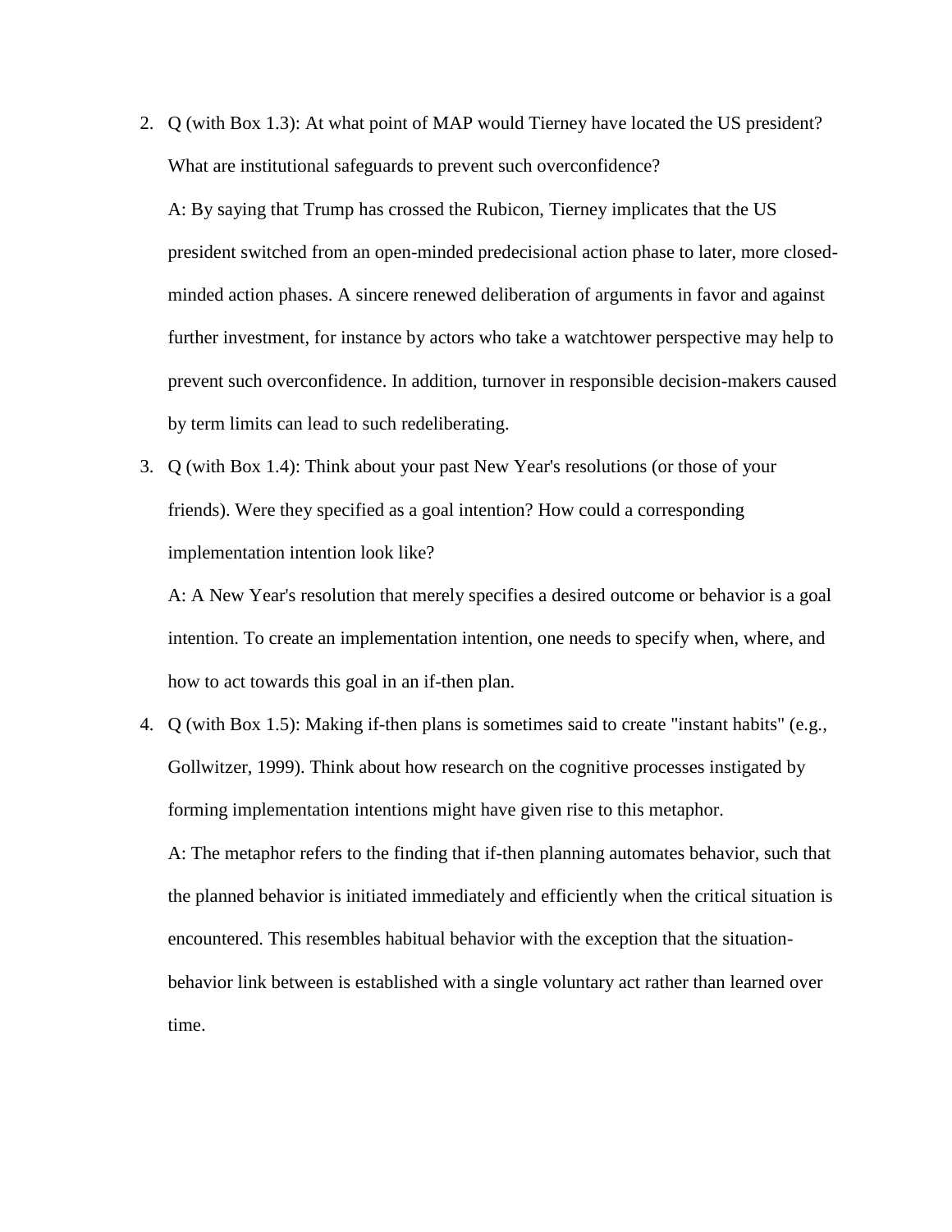2. Q (with Box 1.3): At what point of MAP would Tierney have located the US president? What are institutional safeguards to prevent such overconfidence?

A: By saying that Trump has crossed the Rubicon, Tierney implicates that the US president switched from an open-minded predecisional action phase to later, more closedminded action phases. A sincere renewed deliberation of arguments in favor and against further investment, for instance by actors who take a watchtower perspective may help to prevent such overconfidence. In addition, turnover in responsible decision-makers caused by term limits can lead to such redeliberating.

3. Q (with Box 1.4): Think about your past New Year's resolutions (or those of your friends). Were they specified as a goal intention? How could a corresponding implementation intention look like?

A: A New Year's resolution that merely specifies a desired outcome or behavior is a goal intention. To create an implementation intention, one needs to specify when, where, and how to act towards this goal in an if-then plan.

4. Q (with Box 1.5): Making if-then plans is sometimes said to create "instant habits" (e.g., Gollwitzer, 1999). Think about how research on the cognitive processes instigated by forming implementation intentions might have given rise to this metaphor.

A: The metaphor refers to the finding that if-then planning automates behavior, such that the planned behavior is initiated immediately and efficiently when the critical situation is encountered. This resembles habitual behavior with the exception that the situationbehavior link between is established with a single voluntary act rather than learned over time.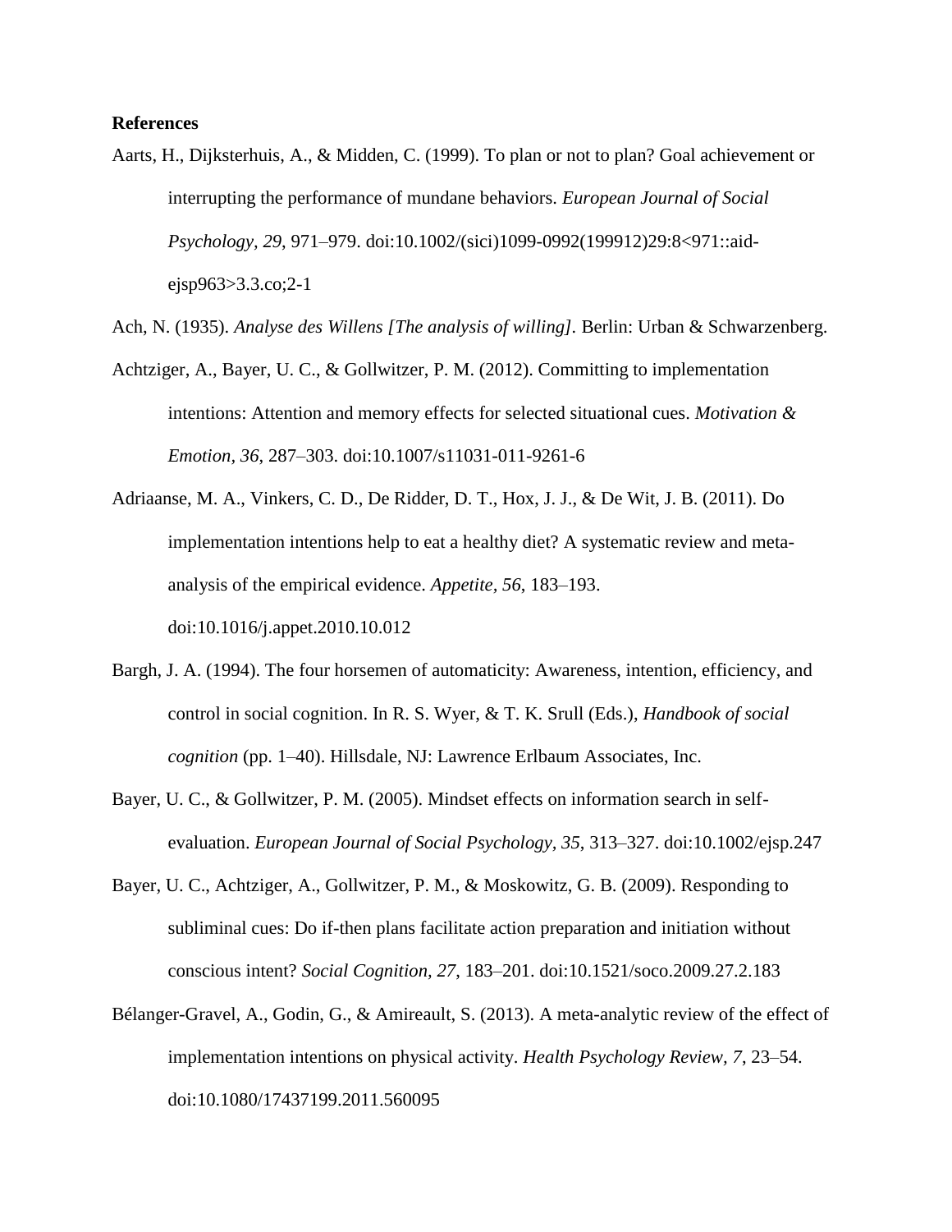#### <span id="page-27-0"></span>**References**

Aarts, H., Dijksterhuis, A., & Midden, C. (1999). To plan or not to plan? Goal achievement or interrupting the performance of mundane behaviors. *European Journal of Social Psychology, 29*, 971–979. doi:10.1002/(sici)1099-0992(199912)29:8<971::aidejsp963>3.3.co;2-1

Ach, N. (1935). *Analyse des Willens [The analysis of willing].* Berlin: Urban & Schwarzenberg.

- Achtziger, A., Bayer, U. C., & Gollwitzer, P. M. (2012). Committing to implementation intentions: Attention and memory effects for selected situational cues. *Motivation & Emotion, 36*, 287–303. doi:10.1007/s11031-011-9261-6
- Adriaanse, M. A., Vinkers, C. D., De Ridder, D. T., Hox, J. J., & De Wit, J. B. (2011). Do implementation intentions help to eat a healthy diet? A systematic review and metaanalysis of the empirical evidence. *Appetite, 56*, 183–193. doi:10.1016/j.appet.2010.10.012
- Bargh, J. A. (1994). The four horsemen of automaticity: Awareness, intention, efficiency, and control in social cognition. In R. S. Wyer, & T. K. Srull (Eds.), *Handbook of social cognition* (pp. 1–40). Hillsdale, NJ: Lawrence Erlbaum Associates, Inc.
- Bayer, U. C., & Gollwitzer, P. M. (2005). Mindset effects on information search in selfevaluation. *European Journal of Social Psychology, 35*, 313–327. doi:10.1002/ejsp.247
- Bayer, U. C., Achtziger, A., Gollwitzer, P. M., & Moskowitz, G. B. (2009). Responding to subliminal cues: Do if-then plans facilitate action preparation and initiation without conscious intent? *Social Cognition, 27*, 183–201. doi:10.1521/soco.2009.27.2.183
- Bélanger-Gravel, A., Godin, G., & Amireault, S. (2013). A meta-analytic review of the effect of implementation intentions on physical activity. *Health Psychology Review, 7*, 23–54. doi:10.1080/17437199.2011.560095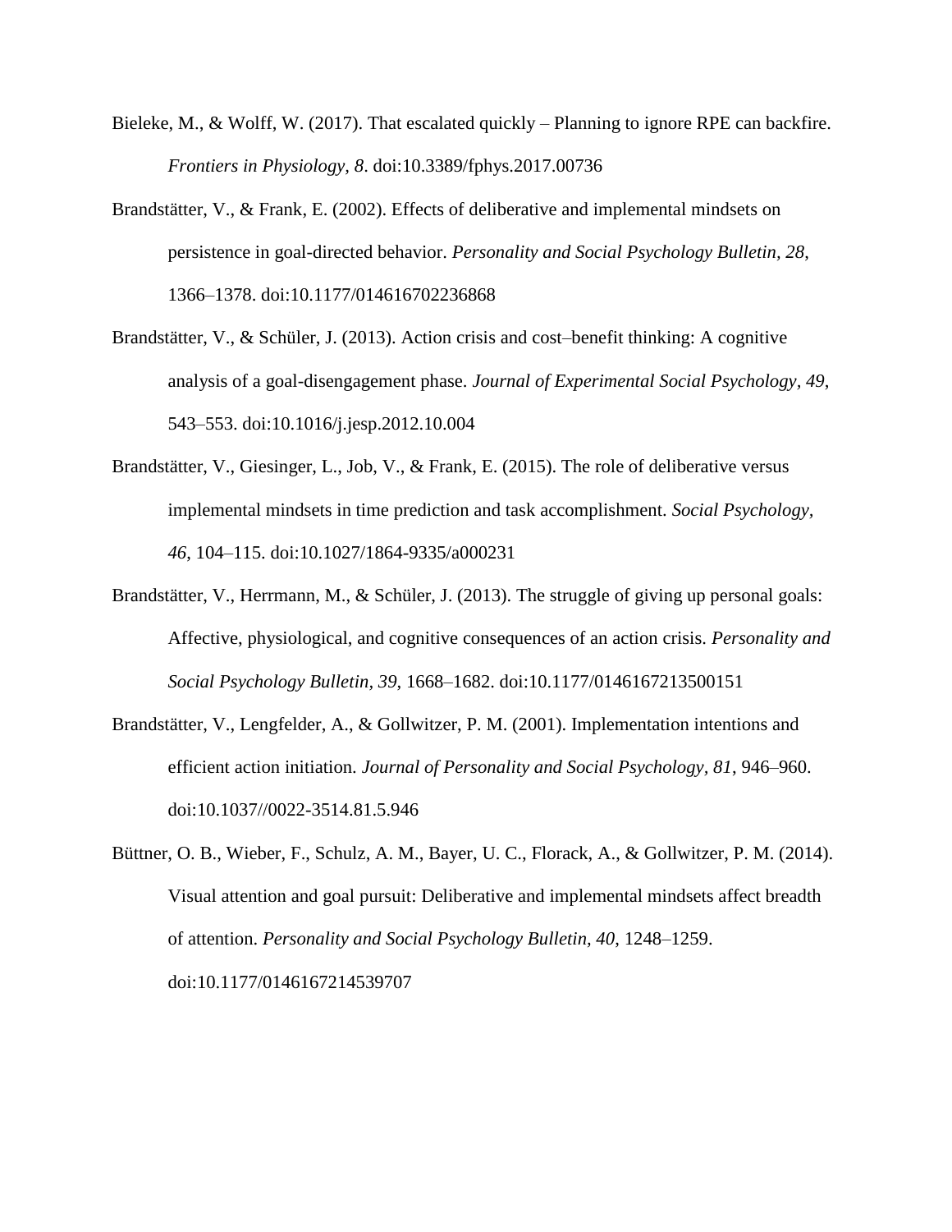- Bieleke, M., & Wolff, W. (2017). That escalated quickly Planning to ignore RPE can backfire. *Frontiers in Physiology, 8*. doi:10.3389/fphys.2017.00736
- Brandstätter, V., & Frank, E. (2002). Effects of deliberative and implemental mindsets on persistence in goal-directed behavior. *Personality and Social Psychology Bulletin, 28*, 1366–1378. doi:10.1177/014616702236868
- Brandstätter, V., & Schüler, J. (2013). Action crisis and cost–benefit thinking: A cognitive analysis of a goal-disengagement phase. *Journal of Experimental Social Psychology, 49*, 543–553. doi:10.1016/j.jesp.2012.10.004
- Brandstätter, V., Giesinger, L., Job, V., & Frank, E. (2015). The role of deliberative versus implemental mindsets in time prediction and task accomplishment. *Social Psychology, 46*, 104–115. doi:10.1027/1864-9335/a000231
- Brandstätter, V., Herrmann, M., & Schüler, J. (2013). The struggle of giving up personal goals: Affective, physiological, and cognitive consequences of an action crisis. *Personality and Social Psychology Bulletin, 39*, 1668–1682. doi:10.1177/0146167213500151
- Brandstätter, V., Lengfelder, A., & Gollwitzer, P. M. (2001). Implementation intentions and efficient action initiation. *Journal of Personality and Social Psychology, 81*, 946–960. doi:10.1037//0022-3514.81.5.946
- Büttner, O. B., Wieber, F., Schulz, A. M., Bayer, U. C., Florack, A., & Gollwitzer, P. M. (2014). Visual attention and goal pursuit: Deliberative and implemental mindsets affect breadth of attention. *Personality and Social Psychology Bulletin, 40*, 1248–1259. doi:10.1177/0146167214539707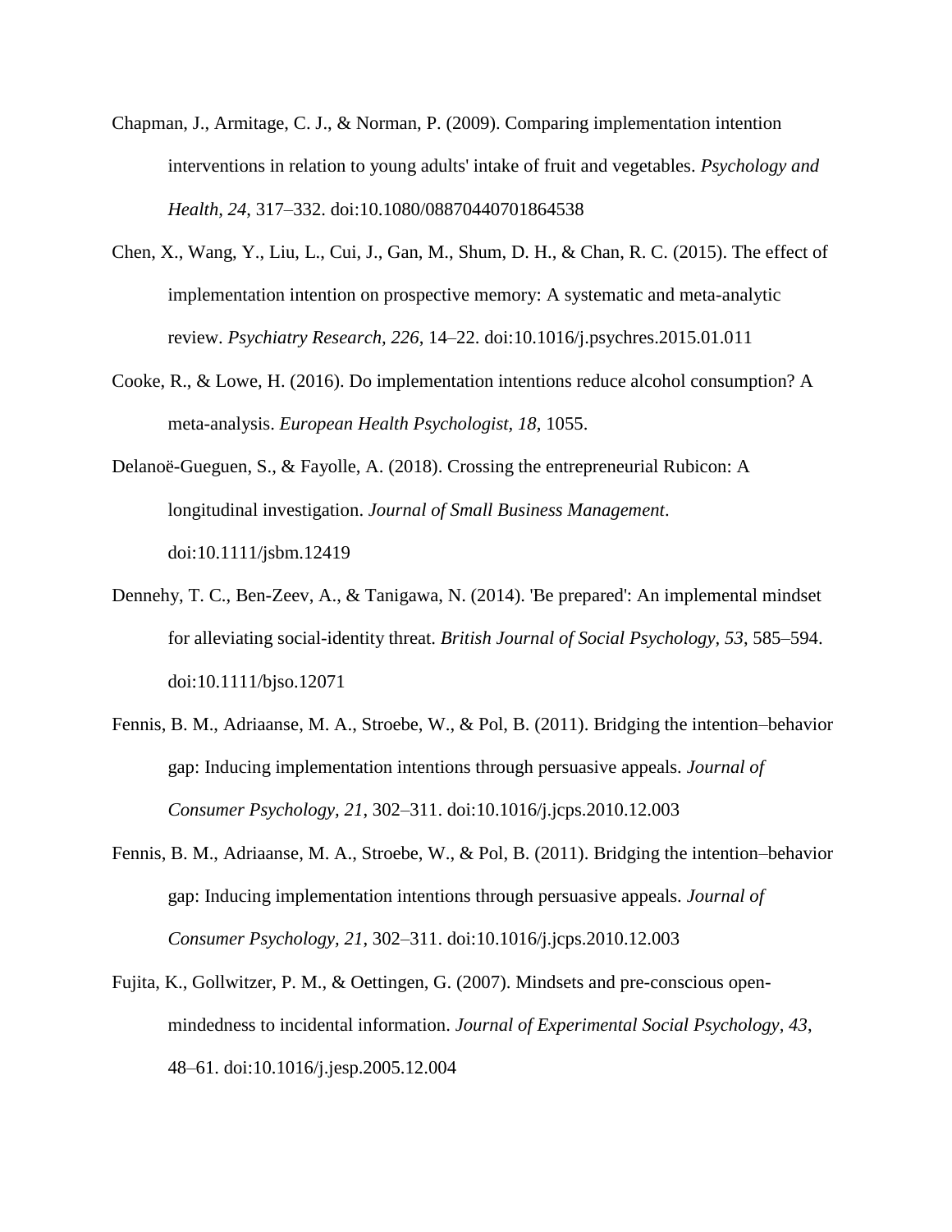- Chapman, J., Armitage, C. J., & Norman, P. (2009). Comparing implementation intention interventions in relation to young adults' intake of fruit and vegetables. *Psychology and Health, 24*, 317–332. doi:10.1080/08870440701864538
- Chen, X., Wang, Y., Liu, L., Cui, J., Gan, M., Shum, D. H., & Chan, R. C. (2015). The effect of implementation intention on prospective memory: A systematic and meta-analytic review. *Psychiatry Research, 226*, 14–22. doi:10.1016/j.psychres.2015.01.011
- Cooke, R., & Lowe, H. (2016). Do implementation intentions reduce alcohol consumption? A meta-analysis. *European Health Psychologist, 18*, 1055.
- Delanoë-Gueguen, S., & Fayolle, A. (2018). Crossing the entrepreneurial Rubicon: A longitudinal investigation. *Journal of Small Business Management*. doi:10.1111/jsbm.12419
- Dennehy, T. C., Ben-Zeev, A., & Tanigawa, N. (2014). 'Be prepared': An implemental mindset for alleviating social-identity threat. *British Journal of Social Psychology, 53*, 585–594. doi:10.1111/bjso.12071
- Fennis, B. M., Adriaanse, M. A., Stroebe, W., & Pol, B. (2011). Bridging the intention–behavior gap: Inducing implementation intentions through persuasive appeals. *Journal of Consumer Psychology, 21*, 302–311. doi:10.1016/j.jcps.2010.12.003
- Fennis, B. M., Adriaanse, M. A., Stroebe, W., & Pol, B. (2011). Bridging the intention–behavior gap: Inducing implementation intentions through persuasive appeals. *Journal of Consumer Psychology, 21*, 302–311. doi:10.1016/j.jcps.2010.12.003
- Fujita, K., Gollwitzer, P. M., & Oettingen, G. (2007). Mindsets and pre-conscious openmindedness to incidental information. *Journal of Experimental Social Psychology, 43*, 48–61. doi:10.1016/j.jesp.2005.12.004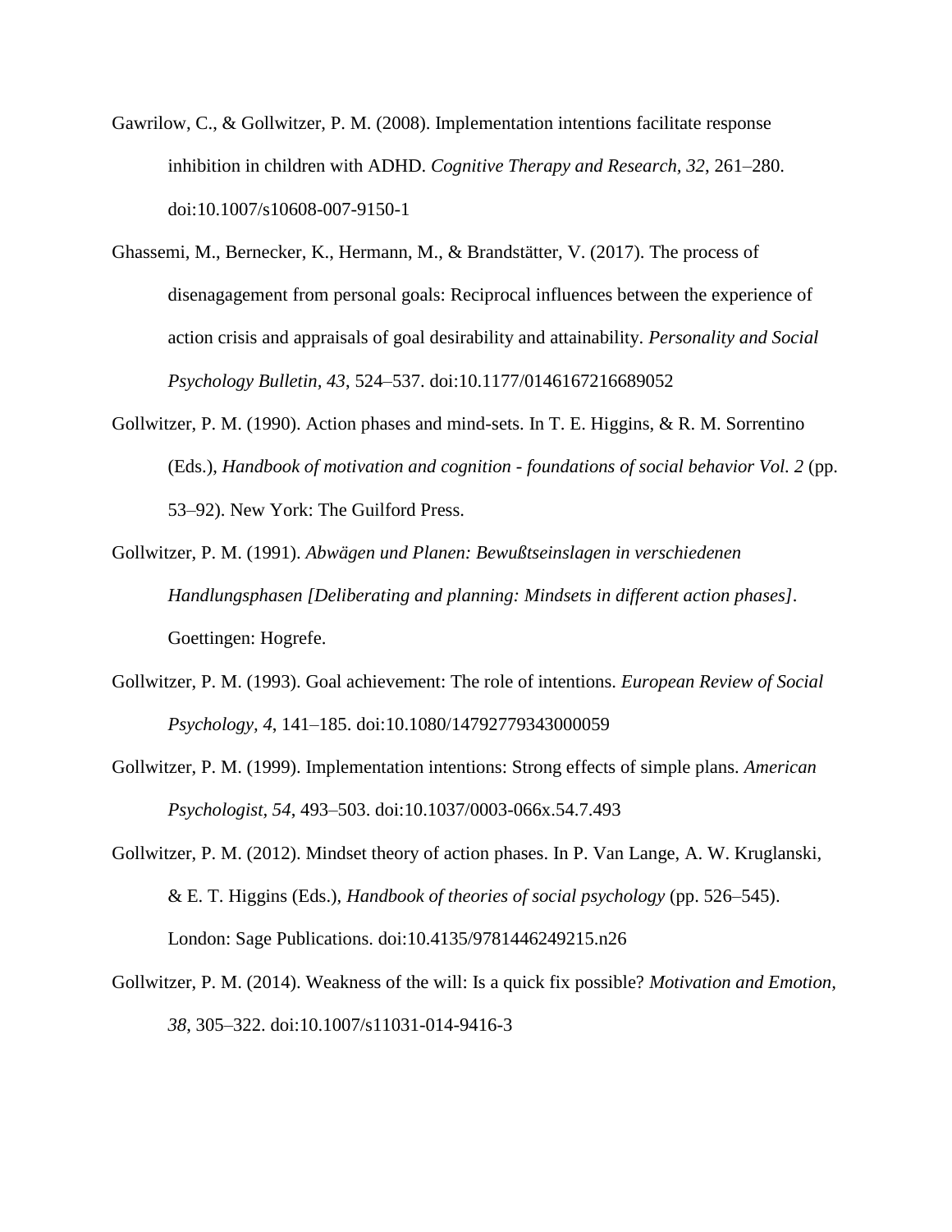- Gawrilow, C., & Gollwitzer, P. M. (2008). Implementation intentions facilitate response inhibition in children with ADHD. *Cognitive Therapy and Research, 32*, 261–280. doi:10.1007/s10608-007-9150-1
- Ghassemi, M., Bernecker, K., Hermann, M., & Brandstätter, V. (2017). The process of disenagagement from personal goals: Reciprocal influences between the experience of action crisis and appraisals of goal desirability and attainability. *Personality and Social Psychology Bulletin, 43*, 524–537. doi:10.1177/0146167216689052
- Gollwitzer, P. M. (1990). Action phases and mind-sets. In T. E. Higgins, & R. M. Sorrentino (Eds.), *Handbook of motivation and cognition - foundations of social behavior Vol. 2* (pp. 53–92). New York: The Guilford Press.
- Gollwitzer, P. M. (1991). *Abwägen und Planen: Bewußtseinslagen in verschiedenen Handlungsphasen [Deliberating and planning: Mindsets in different action phases].* Goettingen: Hogrefe.
- Gollwitzer, P. M. (1993). Goal achievement: The role of intentions. *European Review of Social Psychology, 4*, 141–185. doi:10.1080/14792779343000059
- Gollwitzer, P. M. (1999). Implementation intentions: Strong effects of simple plans. *American Psychologist, 54*, 493–503. doi:10.1037/0003-066x.54.7.493
- Gollwitzer, P. M. (2012). Mindset theory of action phases. In P. Van Lange, A. W. Kruglanski, & E. T. Higgins (Eds.), *Handbook of theories of social psychology* (pp. 526–545). London: Sage Publications. doi:10.4135/9781446249215.n26
- Gollwitzer, P. M. (2014). Weakness of the will: Is a quick fix possible? *Motivation and Emotion, 38*, 305–322. doi:10.1007/s11031-014-9416-3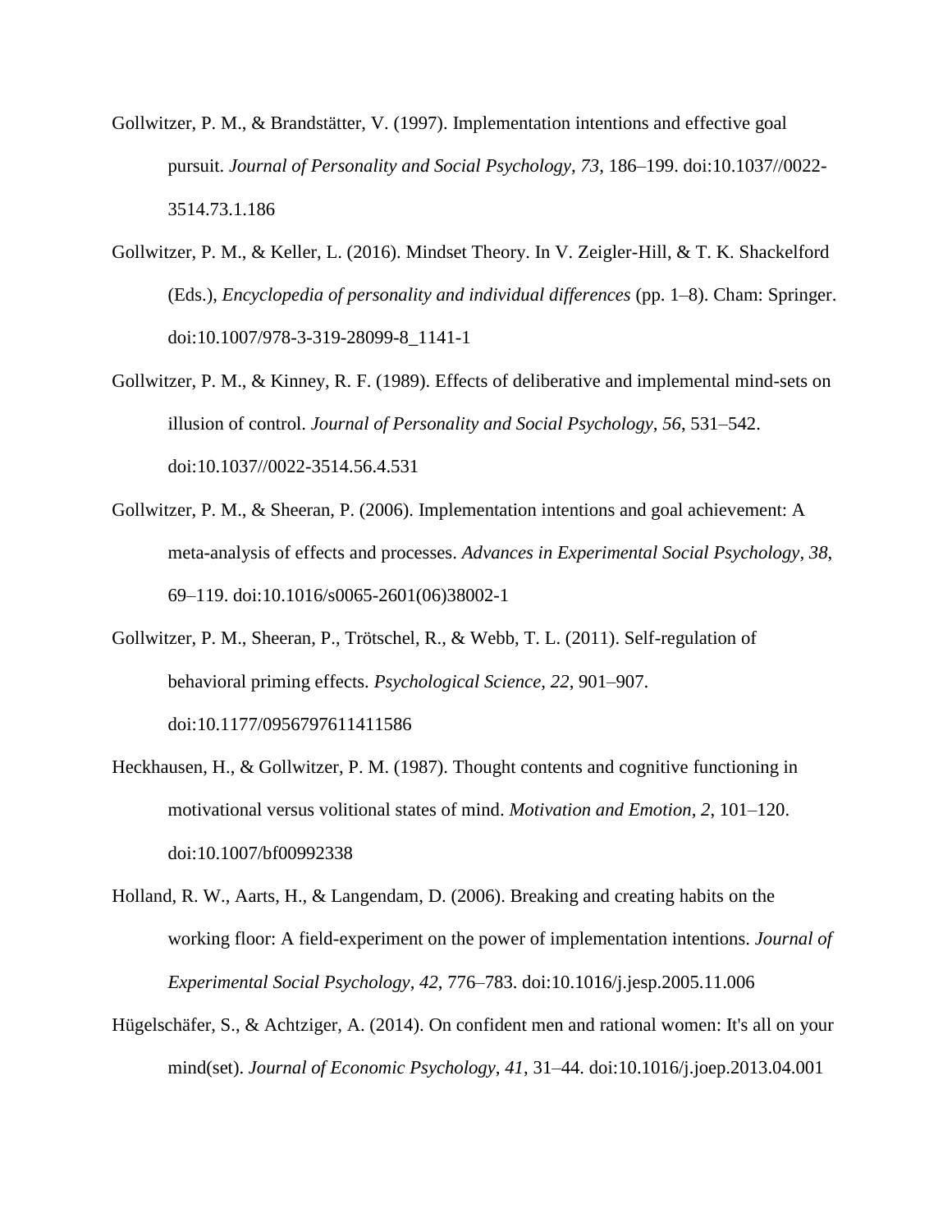- Gollwitzer, P. M., & Brandstätter, V. (1997). Implementation intentions and effective goal pursuit. *Journal of Personality and Social Psychology, 73*, 186–199. doi:10.1037//0022- 3514.73.1.186
- Gollwitzer, P. M., & Keller, L. (2016). Mindset Theory. In V. Zeigler-Hill, & T. K. Shackelford (Eds.), *Encyclopedia of personality and individual differences* (pp. 1–8). Cham: Springer. doi:10.1007/978-3-319-28099-8\_1141-1
- Gollwitzer, P. M., & Kinney, R. F. (1989). Effects of deliberative and implemental mind-sets on illusion of control. *Journal of Personality and Social Psychology, 56*, 531–542. doi:10.1037//0022-3514.56.4.531
- Gollwitzer, P. M., & Sheeran, P. (2006). Implementation intentions and goal achievement: A meta-analysis of effects and processes. *Advances in Experimental Social Psychology, 38*, 69–119. doi:10.1016/s0065-2601(06)38002-1
- Gollwitzer, P. M., Sheeran, P., Trötschel, R., & Webb, T. L. (2011). Self-regulation of behavioral priming effects. *Psychological Science, 22*, 901–907. doi:10.1177/0956797611411586
- Heckhausen, H., & Gollwitzer, P. M. (1987). Thought contents and cognitive functioning in motivational versus volitional states of mind. *Motivation and Emotion, 2*, 101–120. doi:10.1007/bf00992338
- Holland, R. W., Aarts, H., & Langendam, D. (2006). Breaking and creating habits on the working floor: A field-experiment on the power of implementation intentions. *Journal of Experimental Social Psychology, 42*, 776–783. doi:10.1016/j.jesp.2005.11.006
- Hügelschäfer, S., & Achtziger, A. (2014). On confident men and rational women: It's all on your mind(set). *Journal of Economic Psychology, 41*, 31–44. doi:10.1016/j.joep.2013.04.001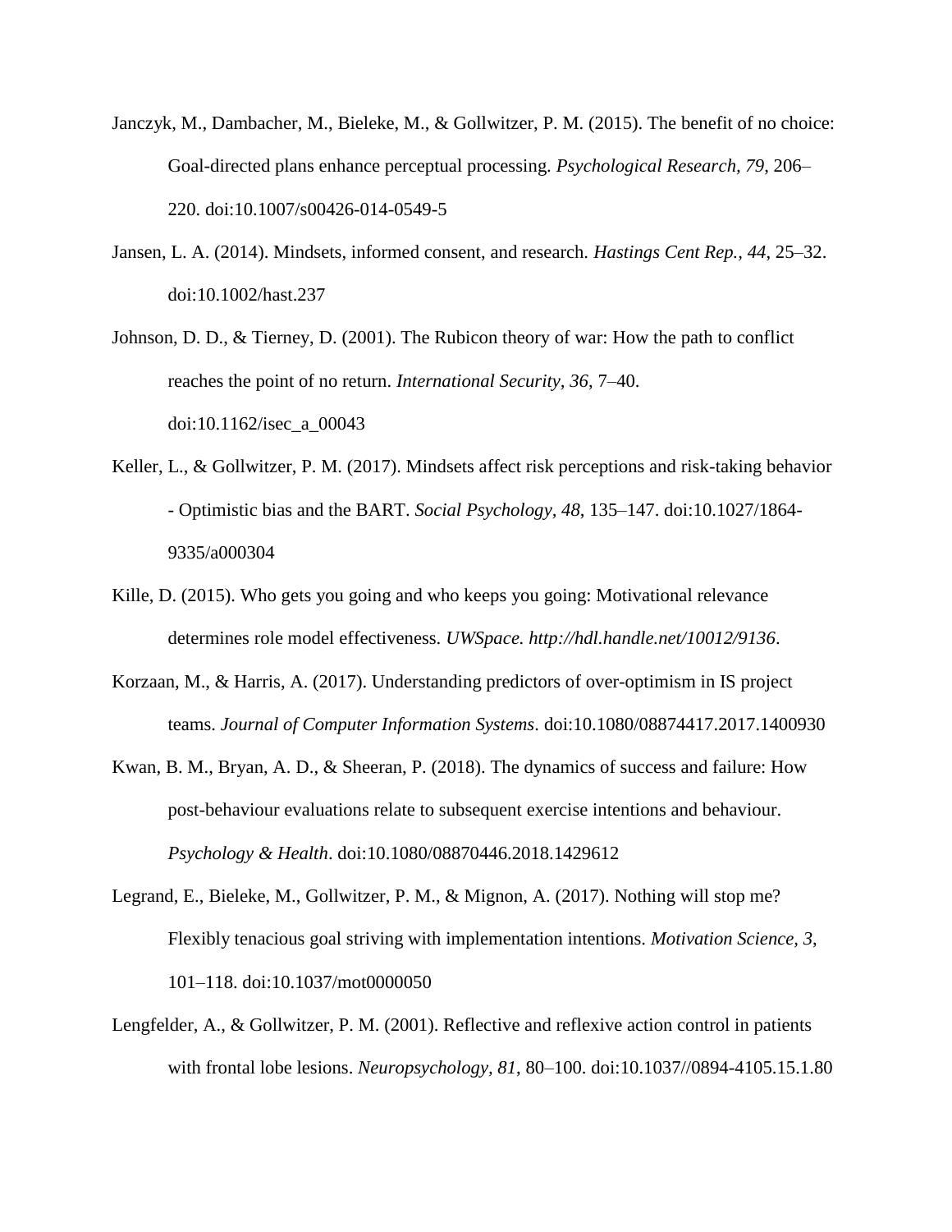- Janczyk, M., Dambacher, M., Bieleke, M., & Gollwitzer, P. M. (2015). The benefit of no choice: Goal-directed plans enhance perceptual processing. *Psychological Research, 79*, 206– 220. doi:10.1007/s00426-014-0549-5
- Jansen, L. A. (2014). Mindsets, informed consent, and research. *Hastings Cent Rep., 44*, 25–32. doi:10.1002/hast.237
- Johnson, D. D., & Tierney, D. (2001). The Rubicon theory of war: How the path to conflict reaches the point of no return. *International Security, 36*, 7–40. doi:10.1162/isec\_a\_00043
- Keller, L., & Gollwitzer, P. M. (2017). Mindsets affect risk perceptions and risk-taking behavior - Optimistic bias and the BART. *Social Psychology, 48*, 135–147. doi:10.1027/1864- 9335/a000304
- Kille, D. (2015). Who gets you going and who keeps you going: Motivational relevance determines role model effectiveness. *UWSpace. http://hdl.handle.net/10012/9136*.
- Korzaan, M., & Harris, A. (2017). Understanding predictors of over-optimism in IS project teams. *Journal of Computer Information Systems*. doi:10.1080/08874417.2017.1400930
- Kwan, B. M., Bryan, A. D., & Sheeran, P. (2018). The dynamics of success and failure: How post-behaviour evaluations relate to subsequent exercise intentions and behaviour. *Psychology & Health*. doi:10.1080/08870446.2018.1429612
- Legrand, E., Bieleke, M., Gollwitzer, P. M., & Mignon, A. (2017). Nothing will stop me? Flexibly tenacious goal striving with implementation intentions. *Motivation Science, 3*, 101–118. doi:10.1037/mot0000050
- Lengfelder, A., & Gollwitzer, P. M. (2001). Reflective and reflexive action control in patients with frontal lobe lesions. *Neuropsychology, 81*, 80–100. doi:10.1037//0894-4105.15.1.80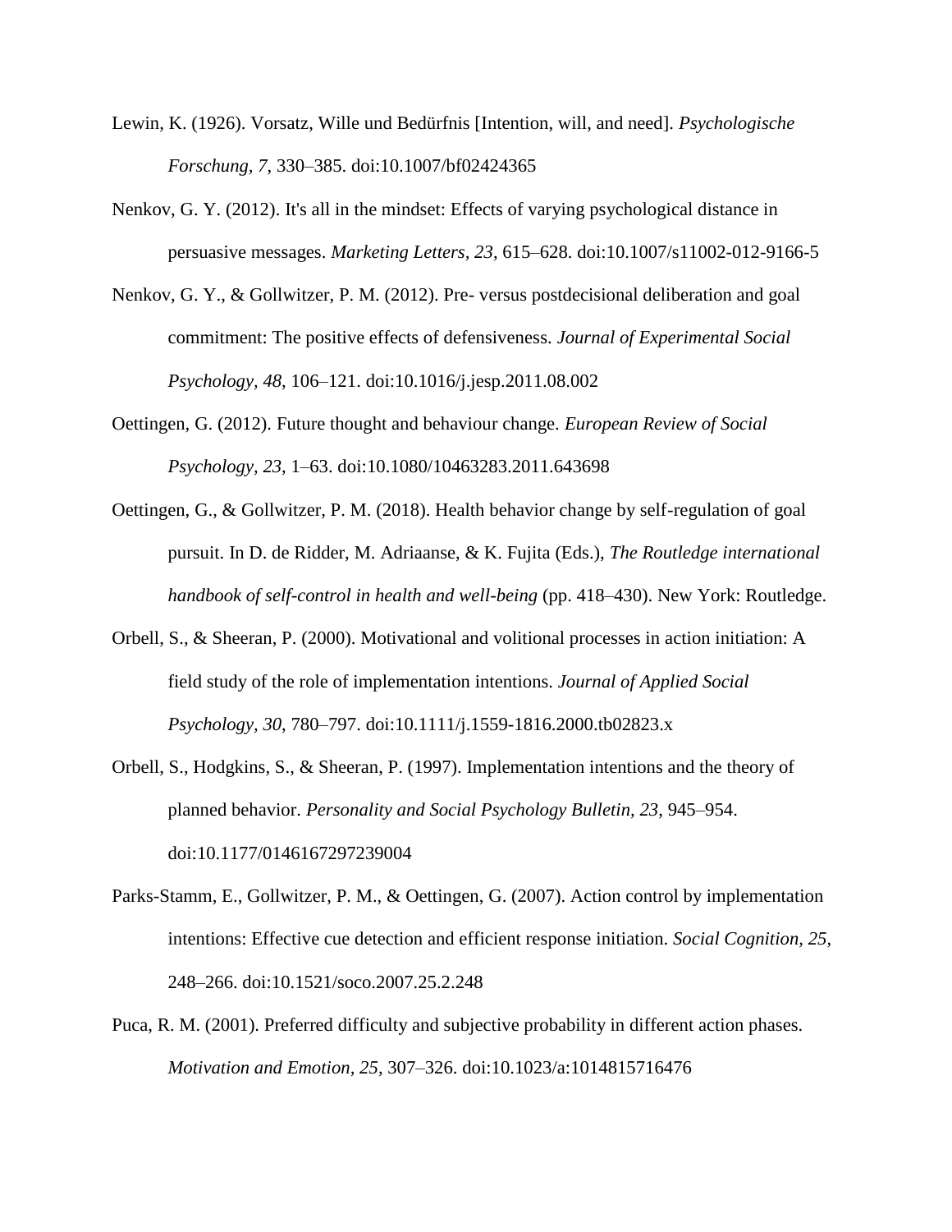- Lewin, K. (1926). Vorsatz, Wille und Bedürfnis [Intention, will, and need]. *Psychologische Forschung, 7*, 330–385. doi:10.1007/bf02424365
- Nenkov, G. Y. (2012). It's all in the mindset: Effects of varying psychological distance in persuasive messages. *Marketing Letters, 23*, 615–628. doi:10.1007/s11002-012-9166-5
- Nenkov, G. Y., & Gollwitzer, P. M. (2012). Pre- versus postdecisional deliberation and goal commitment: The positive effects of defensiveness. *Journal of Experimental Social Psychology, 48*, 106–121. doi:10.1016/j.jesp.2011.08.002
- Oettingen, G. (2012). Future thought and behaviour change. *European Review of Social Psychology, 23*, 1–63. doi:10.1080/10463283.2011.643698
- Oettingen, G., & Gollwitzer, P. M. (2018). Health behavior change by self-regulation of goal pursuit. In D. de Ridder, M. Adriaanse, & K. Fujita (Eds.), *The Routledge international handbook of self-control in health and well-being* (pp. 418–430). New York: Routledge.
- Orbell, S., & Sheeran, P. (2000). Motivational and volitional processes in action initiation: A field study of the role of implementation intentions. *Journal of Applied Social Psychology, 30*, 780–797. doi:10.1111/j.1559-1816.2000.tb02823.x
- Orbell, S., Hodgkins, S., & Sheeran, P. (1997). Implementation intentions and the theory of planned behavior. *Personality and Social Psychology Bulletin, 23*, 945–954. doi:10.1177/0146167297239004
- Parks-Stamm, E., Gollwitzer, P. M., & Oettingen, G. (2007). Action control by implementation intentions: Effective cue detection and efficient response initiation. *Social Cognition, 25*, 248–266. doi:10.1521/soco.2007.25.2.248
- Puca, R. M. (2001). Preferred difficulty and subjective probability in different action phases. *Motivation and Emotion, 25*, 307–326. doi:10.1023/a:1014815716476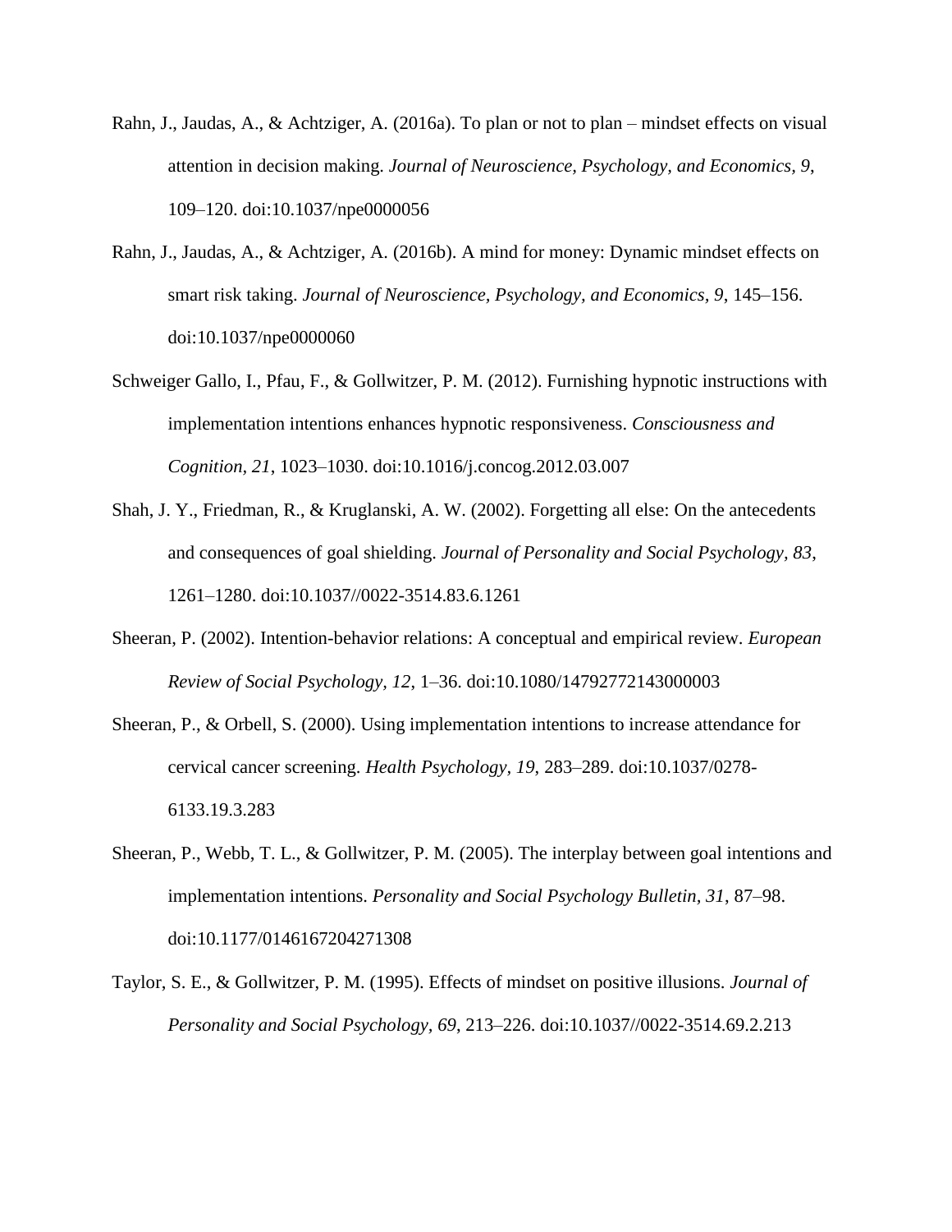- Rahn, J., Jaudas, A., & Achtziger, A. (2016a). To plan or not to plan mindset effects on visual attention in decision making. *Journal of Neuroscience, Psychology, and Economics, 9*, 109–120. doi:10.1037/npe0000056
- Rahn, J., Jaudas, A., & Achtziger, A. (2016b). A mind for money: Dynamic mindset effects on smart risk taking. *Journal of Neuroscience, Psychology, and Economics, 9*, 145–156. doi:10.1037/npe0000060
- Schweiger Gallo, I., Pfau, F., & Gollwitzer, P. M. (2012). Furnishing hypnotic instructions with implementation intentions enhances hypnotic responsiveness. *Consciousness and Cognition, 21*, 1023–1030. doi:10.1016/j.concog.2012.03.007
- Shah, J. Y., Friedman, R., & Kruglanski, A. W. (2002). Forgetting all else: On the antecedents and consequences of goal shielding. *Journal of Personality and Social Psychology, 83*, 1261–1280. doi:10.1037//0022-3514.83.6.1261
- Sheeran, P. (2002). Intention-behavior relations: A conceptual and empirical review. *European Review of Social Psychology, 12*, 1–36. doi:10.1080/14792772143000003
- Sheeran, P., & Orbell, S. (2000). Using implementation intentions to increase attendance for cervical cancer screening. *Health Psychology, 19*, 283–289. doi:10.1037/0278- 6133.19.3.283
- Sheeran, P., Webb, T. L., & Gollwitzer, P. M. (2005). The interplay between goal intentions and implementation intentions. *Personality and Social Psychology Bulletin, 31*, 87–98. doi:10.1177/0146167204271308
- Taylor, S. E., & Gollwitzer, P. M. (1995). Effects of mindset on positive illusions. *Journal of Personality and Social Psychology, 69*, 213–226. doi:10.1037//0022-3514.69.2.213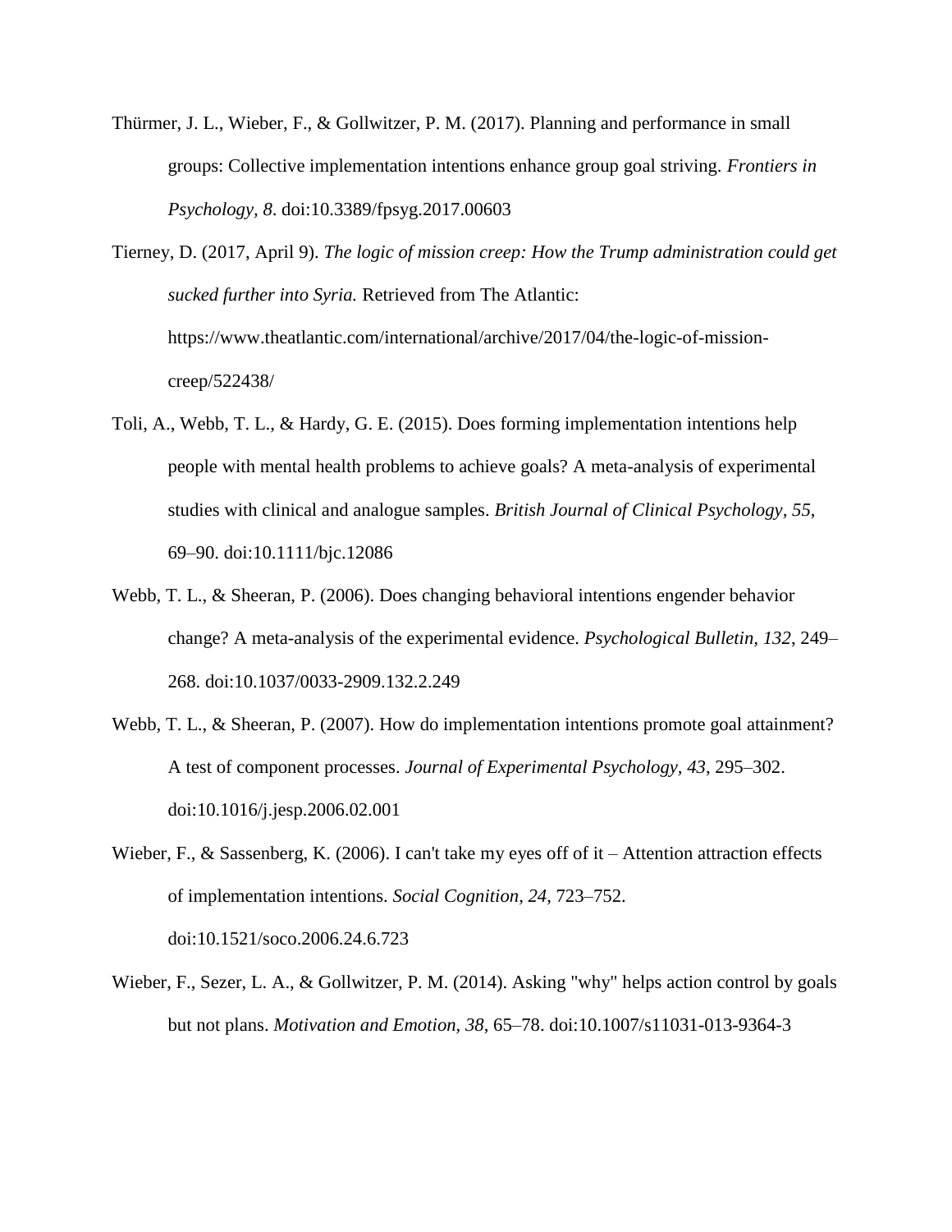Thürmer, J. L., Wieber, F., & Gollwitzer, P. M. (2017). Planning and performance in small groups: Collective implementation intentions enhance group goal striving. *Frontiers in Psychology, 8*. doi:10.3389/fpsyg.2017.00603

Tierney, D. (2017, April 9). *The logic of mission creep: How the Trump administration could get sucked further into Syria.* Retrieved from The Atlantic: https://www.theatlantic.com/international/archive/2017/04/the-logic-of-missioncreep/522438/

- Toli, A., Webb, T. L., & Hardy, G. E. (2015). Does forming implementation intentions help people with mental health problems to achieve goals? A meta-analysis of experimental studies with clinical and analogue samples. *British Journal of Clinical Psychology, 55*, 69–90. doi:10.1111/bjc.12086
- Webb, T. L., & Sheeran, P. (2006). Does changing behavioral intentions engender behavior change? A meta-analysis of the experimental evidence. *Psychological Bulletin, 132*, 249– 268. doi:10.1037/0033-2909.132.2.249
- Webb, T. L., & Sheeran, P. (2007). How do implementation intentions promote goal attainment? A test of component processes. *Journal of Experimental Psychology, 43*, 295–302. doi:10.1016/j.jesp.2006.02.001
- Wieber, F., & Sassenberg, K. (2006). I can't take my eyes off of it Attention attraction effects of implementation intentions. *Social Cognition, 24*, 723–752. doi:10.1521/soco.2006.24.6.723
- Wieber, F., Sezer, L. A., & Gollwitzer, P. M. (2014). Asking "why" helps action control by goals but not plans. *Motivation and Emotion, 38*, 65–78. doi:10.1007/s11031-013-9364-3